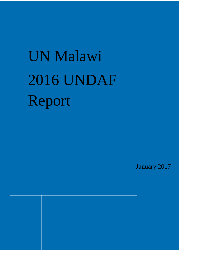# UN Malawi 2016 UNDAF Report

January 2017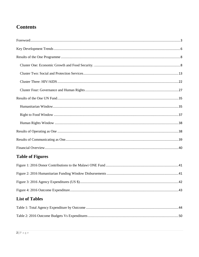# **Contents**

# **Table of Figures**

| <b>List of Tables</b> |  |
|-----------------------|--|
|                       |  |
|                       |  |
|                       |  |
|                       |  |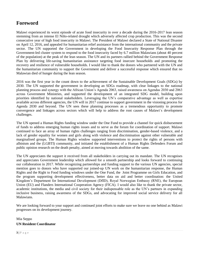# <span id="page-2-0"></span>**Foreword**

Malawi experienced its worst episode of acute food insecurity in over a decade during the 2016-2017 lean season stemming from an intense El Niño-related drought which adversely affected crop production. This was the second consecutive year of high food insecurity in Malawi. The President of Malawi declared a State of National Disaster on April 12, 2016, and appealed for humanitarian relief assistance from the international community and the private sector. The UN supported the Government in developing the Food Insecurity Response Plan through the Government-led cluster system to respond to the food insecurity faced by 6.7 million Malawians (about 40 percent of the population) at the peak of the lean season. The UN and its partners rallied behind the Government Response Plan by delivering life-saving humanitarian assistance targeting food insecure households and promoting the recovery and resilience of vulnerable households. I would like to thank the donors who partnered with the UN and the humanitarian community to support the Government and deliver a successful response which ensured that no Malawian died of hunger during the lean season.

2016 was the first year in the count down to the achievement of the Sustainable Development Goals (SDGs) by 2030. The UN supported the government in developing an SDGs roadmap, with clear linkages to the national planning process and synergy with the African Union's Agenda 2063, raised awareness on Agendas 2030 and 2063 across Government Ministries, and supported the development of an integrated SDG model, building upon priorities identified by national stakeholders. Leveraging the UN's comparative advantage as well as expertise available across different agencies, the UN will in 2017 continue to support government in the visioning process for Agenda 2030 and beyond. The UN sees these planning processes as a tremendous opportunity to promote convergence and linkages across sectors which will help to address the root causes of Malawi´s development challenges.

The UN opened a Human Rights funding window under the One Fund to provide a channel for quick disbursement of funds to address emerging human rights issues and to serve as the forum for coordination of support. Malawi continued to face an array of human rights challenges ranging from discrimination, gender-based violence, and a lack of gender equality for women and girls along with violence and discrimination against other vulnerable and marginalised groups. The Human Rights window supported interventions to protect the rights of persons with albinism and the (LGBTI) community, and initiated the establishment of a Human Rights Defenders Forum and public opinion research on the death penalty, aimed at moving towards abolition of the same.

The UN appreciates the support it received from all stakeholders in carrying out its mandate. The UN recognises and appreciates Government leadership which allowed for a smooth partnership and looks forward to continuing our collaboration in 2017. While recognizing partnerships and funding support to the various UN agencies, special mention goes to donors who have supported our joined-up UN work on the humanitarian response, the Human Rights and the Right to Food funding windows under the One Fund, the Joint Programme on Girls Education, and the program supporting development effectiveness, better data on aid and better coordination: the United Kingdom's Department for International Development (DfID), Royal Norwegian Embassy (RNE), the European Union (EU) and Flanders International Cooperation Agency (FICA). I would also like to thank the private sector, academic institutions, the media and civil society for their indispensable role as the UN's partners in expanding inclusive business, raising awareness of the SDGs, and advocating for improved social service delivery for all Malawians.

We are looking forward to your support and continued joint efforts to make sure we leave no one behind as Malawi progresses on its development journey.

### Mia Seppo **UN Resident Coordinator**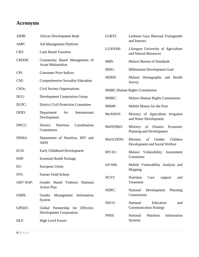# **Acronyms**

| AfDB:              | <b>African Development Bank</b>                            | LGBTI:       | Lesbians Gays Bisexual Transgender<br>and Intersex                     |
|--------------------|------------------------------------------------------------|--------------|------------------------------------------------------------------------|
| AMP:               | Aid Management Platform                                    |              |                                                                        |
| CBT:               | <b>Cash Based Transfers</b>                                | LUANAR:      | Lilongwe University of Agriculture<br>and Natural Resources            |
| CMAM:              | Community Based Management of<br><b>Acute Malnutrition</b> | MBS:         | Malawi Bureau of Standards                                             |
| CPI:               | <b>Consumer Price Indices</b>                              | MDG:         | Millennium Development Goal                                            |
| CSE:               | <b>Comprehensive Sexuality Education</b>                   | MDHS:        | Malawi Demographic and Health<br>Survey                                |
| CSO <sub>s</sub> : | Civil Society Organisations                                |              | <b>MHRC: Human Rights Commission</b>                                   |
| DCG:               | <b>Development Cooperation Group</b>                       | MHRC:        | Malawi Human Rights Commission                                         |
| DCPC:              | <b>District Civil Protection Committee</b>                 | MM4P:        | Mobile Money for the Poor                                              |
| DFID:              | for<br>International<br>Department<br>Development          | MoAIWD:      | Ministry of Agriculture Irrigation<br>and Water Development            |
| DNCC:              | Coordination<br>District<br>Nutrition<br>Committees        | MoFEP&D:     | of Finance<br>Ministry<br>Economic<br>Planning and Development         |
| DNHA:              | Department of Nutrition, HIV and<br><b>AIDS</b>            | MoGCDSW:     | of<br>Gender<br>Children<br>Ministry<br>Development and Social Welfare |
| ECD:               | Early Childhood Development                                | <b>MVAC:</b> | Malawi Vulnerability<br>Assessment                                     |
| EHP:               | <b>Essential Health Package</b>                            |              | Committee                                                              |
| EU:                | European Union                                             | mVAM:        | Mobile Vulnerability Analysis and<br>Mapping                           |
| FFS:               | Farmer Field School                                        | NCST:        | Nutrition<br>Care<br>support<br>and                                    |
| <b>GBV NAP:</b>    | Gender Based Violence National                             |              | Treatment                                                              |
|                    | <b>Action Plan</b>                                         | NDPC:        | National<br>Development<br>Planning                                    |
| GMIS:              | Management Information<br>Gender<br>System                 |              | Commission                                                             |
| GPEDC:             | Partnership for Effective<br>Global                        | NECS:        | National<br>Education<br>and<br><b>Communication Strategy</b>          |
|                    | <b>Development Cooperation</b>                             |              |                                                                        |
| HLF:               | High Level Forum                                           | NNIS:        | National<br>Nutrition<br>Information<br>Systems                        |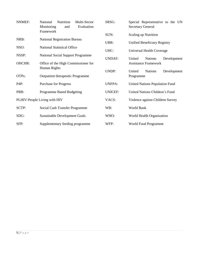| <b>NNMEF:</b> | National<br>Nutrition<br>Multi-Sector<br>Monitoring<br>Evaluation<br>and | SRSG:          | Special Representative to the UN<br><b>Secretary General</b> |  |
|---------------|--------------------------------------------------------------------------|----------------|--------------------------------------------------------------|--|
|               | Framework                                                                | SUN:           | <b>Scaling up Nutrition</b>                                  |  |
| NRB:          | <b>National Registration Bureau</b>                                      | UBR:           | Unified Beneficiary Registry                                 |  |
| NSO:          | <b>National Statistical Office</b>                                       | UHC:           | Universal Health Coverage                                    |  |
| NSSP:         | <b>National Social Support Programme</b>                                 | <b>UNDAF:</b>  | United<br>Development<br><b>Nations</b>                      |  |
| <b>OHCHR:</b> | Office of the High Commissioner for                                      |                | <b>Assistance Framework</b>                                  |  |
|               | Human Rights                                                             | UNDP:          | United<br><b>Nations</b><br>Development                      |  |
| OTPs:         | Outpatient therapeutic Programme                                         |                | Programme                                                    |  |
| P4P:          | <b>Purchase for Progress</b>                                             | <b>UNFPA:</b>  | <b>United Nations Population Fund</b>                        |  |
| PBB:          | <b>Programme Based Budgeting</b>                                         | <b>UNICEF:</b> | United Nations Children's Fund                               |  |
|               | PLHIV: People Living with HIV                                            | VACS:          | Violence against Children Survey                             |  |
| SCTP:         | Social Cash Transfer Programme                                           | WB:            | World Bank                                                   |  |
| SDG:          | <b>Sustainable Development Goals</b>                                     | WHO:           | World Health Organization                                    |  |
| SFP:          | Supplementary feeding programme                                          | WFP:           | World Food Programme                                         |  |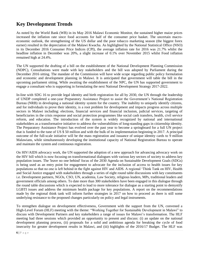# <span id="page-5-0"></span>**Key Development Trends**

As noted by the World Bank (WB) in its May 2016 Malawi Economic Monitor, the sustained higher maize prices increased the inflation rate since food accounts for half of the consumer price basket. The uncertain macroeconomic outlook, the strengthening of the US dollar and the poor tobacco marketing season (the biggest forex earner) resulted in the depreciation of the Malawi Kwacha. As highlighted by the National Statistical Office (NSO) in its December 2016 Consumer Price Indices (CPI), the average inflation rate for 2016 was 21.7% whilst the headline inflation in December was 20%, a slight increase of 0.1% over November 2015 whilst Food inflation remained high at 24.4%.

The UN supported the drafting of a bill on the establishment of the National Development Planning Commission (NDPC), Consultations were made with key stakeholders and the bill was adopted by Parliament during the December 2016 sitting. The mandate of the Commission will have wide scope regarding public policy formulation and economic and development planning in Malawi. It is anticipated that government will table the bill in the upcoming parliament sitting. While awaiting the establishment of the NPC, the UN has supported government to engage a consultant who is supporting in formulating the next National Development Strategy 2017-2022.

In-line with SDG 16 to provide legal identity and birth registration for all by 2030, the UN through the leadership of UNDP completed a one-year Preparatory Assistance Project to assist the Government's National Registration Bureau (NRB) in developing a national identity system for the country. The inability to uniquely identify citizens, and for individuals to prove their identity, is a root problem for development and impacts progress across multiple sectors in Malawi including: elections, financial services and financial inclusion, judicial services, targeting of beneficiaries in the crisis response and social protection programmes like social cash transfers, health, civil service reform, and education. The introduction of the system is widely recognized by national and international stakeholders as a transformative initiative to address the vulnerabilities of long-standing gaps in citizenship identity. The Preparatory Assistance Project has evolved over the past year to become a springboard for a full UN project that is funded to the tune of US \$ 50 million and with the bulk of its implementation beginning in 2017. A principal outcome of the full-scale initiative will be the mass registration and issuance of unique identity cards to 9 million Malawians, while simultaneously developing the institutional capacity of National Registration Bureau to operate and maintain the system and continuous registration.

On HIV/AIDS advocacy work, the UN supported the adoption of a new approach for advancing advocacy work on the HIV bill which is now focusing on transformational dialogues with various key sectors of society to address key population issues. The 'leave no one behind' focus of the 2030 Agenda on Sustainable Development Goals (SDGs) is being used as an entry point for engagement to advocate for the inclusion of access to health issues for key populations so that no one is left behind in the fight against HIV and AIDS. A regional 'Think Tank on HIV, Health and Social Justice engaged with stakeholders through a series of eight round table discussions with key constituents i.e. Development partners, NGOs, CSO, UN, academia, Law Society, religious leaders, MPs, traditional leaders and government officials among others. To date more than 300 stakeholders have been engaged in this dialogue through the round table discussions which is expected to lead to more tolerance for dialogue as a starting point to demystify LGBTI issues and address the minimum health package for key populations. A report on the recommendations made by the regional think tank will inform further strategies in 2017 on how to proceed as there is still some underlying resistance to the proposed changes particularly on policy and legal instruments.

To strengthen dialogue on development effectiveness, Government with the support from the UN, convened a High-Level Forum (HLF) meeting with the theme: "Working Together for Sustainable Development in Malawi" to discuss with Development Partners and key stakeholders a range of issues for Malawi's transformation. The HLF meeting had three sessions which provided an opportunity to present and discuss: (i) an update on the national development planning process, (ii) proposals for a solid and ambitious agenda for breaking the cycle of food insecurity for greater development results in Malawi, and (iii) highlights of the 2016/17 Budget. The HLF was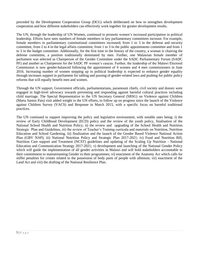preceded by the Development Cooperation Group (DCG) which deliberated on how to strengthen development cooperation and how different stakeholders can effectively work together for greater development results.

The UN, through the leadership of UN Women, continued to promote women's increased participation in political leadership. Efforts have seen numbers of female members in key parliamentary committees increase. For example, female members in parliamentary constitutional committees increased; from 1 to 3 in the defense and security committee, from 2 to 4 in the legal affairs committee; from 1 to 3 in the public appointments committee and from 1 to 3 in the budget committee. Additionally, for the first time in the history of the country, a woman is chairing the defense committee, a position traditionally dominated by men. Further, one Malawian female member of parliament was selected as Chairperson of the Gender Committee under the SADC Parliamentary Forum (SADC PF) and another as Chairperson for the SADC PF women's caucus. Further, the leadership of the Malawi Electoral Commission is now gender-balanced following the appointment of 4 women and 4 men commissioners in June 2016. Increasing number of women stepping up in political leadership is expected to enhance gender equality through increases support in parliament for tabling and passing of gender-related laws and pushing for public policy reforms that will equally benefit men and women.

Through the UN support, Government officials, parliamentarians, paramount chiefs, civil society and donors were engaged in high-level advocacy towards preventing and responding against harmful cultural practices including child marriage. The Special Representative to the UN Secretary General (SRSG) on Violence against Children (Marta Santos Pais) visit added weight to the UN efforts, to follow up on progress since the launch of the Violence against Children Survey (VACS) and Response in March 2015, with a specific focus on harmful traditional practices.

The UN continued to support improving the policy and legislative environment, with notable ones being: i) the review of Early Childhood Development (ECD) policy and the review of the youth policy, finalisation of the National School Health and Nutrition Policy; ii) the review and upgrading of the School Health and Nutrition Strategic Plan and Guidelines, iii) the review of Teacher's Training curricula and materials on Nutrition, Nutrition Education and School Gardening, iii) finalization and the launch of the Gender Based Violence National Action Plan (GBV NAP); iii) National Nutrition Policy and Strategic Plan 2017-2021; iv) Food and Nutrition Bill, Nutrition Care support and Treatment (NCST) guidelines and updating of the Scaling Up Nutrition - National Education and Communication Strategy 2017-2021; v) development and launching of the National Gender Policy which will guide the implementation of all gender activities in Malawi and will hold stakeholders accountable to their commitment to mainstreaming Gender in their programmes; vi) enactment of the Anatomy Act which calls for stiffer penalties for crimes related to the possession of body parts of people with albinism; vii) enactment of the Land Act and viii) the drafting of the National Resilience Plan.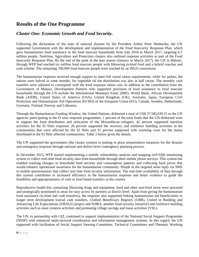# <span id="page-7-0"></span>**Results of the One Programme**

# <span id="page-7-1"></span>*Cluster One: Economic Growth and Food Security.*

Following the declaration of the state of national disaster by the President Arthur Peter Mutharika, the UN supported Government with the development and implementation of the Food Insecurity Response Plan, which gave humanitarian food assistance to the food insecure households from July 2016 to March 2017, targeting 6.7 million people. Nutrition, Agriculture and Protection clusters also outlined response activities as part of the Food Insecurity Response Plan. By the end of the peak of the lean season (January to March 2017), the UN in Malawi, through WFP had reached six million food insecure people with lifesaving in-kind food and a hybrid voucher and cash scheme. The remaining 700,000 food insecure people were reached by an INGO consortium.

The humanitarian response received enough support to meet full cereal ration requirements; while for pulses, the rations were halved in some months; for vegetable oil the distribution was also at half ration. The monthly cash transfers were adjusted to correspond with the food response ration cuts. In addition to the contribution from the Government of Malawi, Development Partners who supported provision of food assistance to food insecure households through the UN include the International Monetary Fund, (IMF), World Bank, African Development Bank (AfDB), United States of America (USA), United Kingdom (UK), Australia, Japan, European Civil Protection and Humanitarian Aid Operations (ECHO) of the European Union (EU), Canada, Sweden, Netherlands, Germany, Finland, Norway and Lithuania.

Through the Humanitarian Funding Window, the United Nations, disbursed a total of US\$ 37,583,639.21 to the UN agencies participating in the El nino response programmes. 1 percent of the total funds that the UN disbursed went to support the food distribution and relocation of the Mozambican refugees, 42 percent supported nutrition activities for the El Niño response; 26 percent supported the recovery and resilience building activities in the communities that were affected by the El Niño and 31 percent supported with twinning costs for the maize distributed to the El Niño affected communities. Table 2 below gives the details.

The UN supported the government (the cluster system) in putting in place preparedness measures for the disaster and emergency response through national and district level contingency planning process.

In December 2015, WFP started implementing a mobile vulnerability analysis and mapping (mVAM) monitoring system to collect real-time food security data from households through short mobile phone surveys. This system has enabled tracking changes in household food security and consumption patterns and collecting food prices that would enhance operational awareness for the humanitarian community. People in the targeted areas reply via SMS to mobile questionnaires that collect real time food security information. The real-time availability of data through this system contributes to increased efficiency in the humanitarian response and better evidence to guide the feasibility and appropriateness of cash or food based transfers in the country.

Reproductive health kits containing lifesaving drugs and equipment, food and other non-food items were procured and strategically positioned in areas for easy access by partners at district level. Apart from giving the humanitarian food assistance (in-kind and cash transfers), the response also supported linking humanitarian aid beneficiaries to longer term development [social cash transfers, Unified Beneficiary Registry (UBR), United in Building and Advancing Life Expectations (UBALE) project and NJIRA, another food security initiative] and resilience building activities such as asset creation activities and promoting village savings and loans activities (VSL).

The UN, in partnership with GIZ, continued to support implementation of the National Social Support Programme (NSSP) with enhanced multi-sectoral coordination and information management systems. In this regard, the UN supported with facilitation of Social Support Steering Committee, Technical Committees and Thematic Working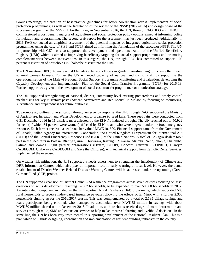Groups meetings; the creation of best practice guidelines for better coordination across implementers of social protection programmes; as well as the facilitation of the review of the NSSP (2012-2016) and design phase of the successor programme, the NSSP II. Furthermore, in September 2016, the UN, through FAO, ILO and UNICEF, commissioned a cost benefit analysis of agriculture and social protection policy options aimed at informing policy formulation and programming. The second draft report for the assessment has just been produced. Additionally, in 2016 FAO conducted an empirical assessment of the potential impacts of integrated agriculture-social protection programmes using the case of FISP and SCTP aimed at informing the formulation of the successor NSSP, The UN in partnership with GIZ has also supported the development and operationalization of the Unified Beneficiary Registry (UBR) which is aimed at improving beneficiary targeting for social support programmes and promoting complementarities between interventions. In this regard, the UN, through FAO has committed to support 100 percent registration of households in Phalombe district into the UBR.

The UN mentored 189 (143 male and 43 female) extension officers in gender mainstreaming to increase their reach to rural women farmers. Further the UN enhanced capacity of national and district staff by supporting the operationalisation of the Malawi National Social Support Programme Monitoring and Evaluation, developing the Capacity Development and Implementation Plan for the Social Cash Transfer Programme (SCTP) for 2016-18. Further support was given to the development of social cash transfer programme communication strategy.

The UN supported strengthening of national, district, community level existing preparedness and timely control mechanisms for key migratory pests (African Armyworm and Red Locust) in Malawi by focusing on monitoring, surveillance and preparedness for future outbreaks.

To promote agricultural diversification through emergency response, the UN, through FAO, supported the Ministry of Agriculture, Irrigation and Water Development to organize 90 seed fairs. These seed fairs were conducted from 6-31 December 2016 in 11 districts most affected by the El Niño induced drought. The UN reached out to 50,922 farmers (of which 64 percent were women) affected by El Nino and who were targeted under the food emergency response. Each farmer received a seed voucher valued MWK10, 500. Financial support came from the Government of Canada, Italian Agency for International Cooperation, the United Kingdom's Department for International Aid (DFID) and the Central Emergency Response Fund (CERF) of the United Nations. A total of 128 agro-dealers took part in the seed fairs in Balaka, Blantyre, rural, Chikwawa, Kasungu, Mwanza, Mzimba, Neno, Nsanje, Phalombe, Salima and Zomba. Eight partner organizations (Oxfam, COOPI, Concern Universal, COPRED, Blantyre CADECOM, Chikwawa CADECOM and Save the Children), with technical support from Catholic Relief Services, implemented the exercise.

On weather risk mitigation, the UN supported a needs assessment to strengthen the functionality of Climate and DRR Information Centres which also play an important role in early warning at local level. However, the actual establishment of District Weather Related Disaster Warning Centres will be addressed under the upcoming (Green Climate Fund (GCF) project.

The UN supported expansion of District Council-led resilience programmes across seven districts focusing on asset creation and skills development, reaching 14,567 households, to be expanded to over 50,000 households in 2017. An integrated component included in the multi-partner Rural Resilience (R4) programme, which supported 500 rural households to receive index-based insurance payouts following the effects of El Nino, with a further 2,350 households signing up for the 2016/2017 season. This was complemented by a total of 2,135 village savings and loans participants being enrolled, who managed to accumulate over MWK58 million in savings with about MWK80 million shared out in December 2016. In addition, all households received agro-climatic information and services through radio, SMS and extension services to help make improved farming and livelihood decisions. In the same line, the UN has been very instrumental in supporting development of the National Resilient Plan. This is a plan which will guide designing, coordination and implementation of resilient building initiatives in the country.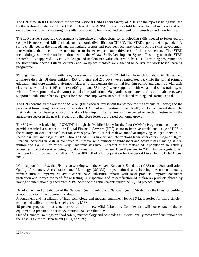The UN, through ILO, supported the second National Child Labour Survey of 2016 and the report is being finalised by the National Statistics Office (NSO). Through the ARISE Project, ex-child laborers trained in vocational and entrepreneurship skills are using the skills for economic livelihood and can fend for themselves and their families.

The ILO further supported Government to introduce a methodology for anticipating skills needed to foster export competitiveness called skills for trade and economic diversification (STED). The STED report 2016 helped identify skills challenges in the oilseeds and horticulture sectors and provides recommendations on the skills development interventions that need to be undertaken to foster export competitiveness of the two sectors. The STED methodology is now due for institutionalized to the Malawi Skills Development System. Resulting from the STED research, ILO supported TEVETA to design and implement a value chain work based skills training programme for the horticulture sector. Fifteen lecturers and workplace mentors were trained to deliver the work based learning programme.

Through the ILO, the UN withdrew, prevented and protected 1592 children from child labour in Ntcheu and Lilongwe districts. Of these children, 453 (243 girls and 210 boys) were reintegrated back into the formal primary education and were attending afternoon classes to supplement the normal learning period and catch up with their classmates. A total of 1,163 children (609 girls and 554 boys) were supported with vocational skills training, of which 140 were provided with startup capital after graduation. 460 guardians and parents of ex-child labourers were supported with comprehensive grants for economic empowerment which included training and startup capital.

The UN coordinated the review of ASWAP (the five-year investment framework for the agricultural sector) and the process of formulating its successor, the National Agriculture Investment Plan (NAIP), is at an advanced stage. The first draft has just been produced for stakeholders input. The framework is expected to guide investments in the agriculture sector in the next five years and therefore foster agro-based economic growth.

The UN with the leadership of UNCDF through the Mobile Money for the Poor (MM4P) Programme continued to provide technical assistance to the Digital Financial Services (DFS) sector to improve uptake and usage of DFS in the country. In 2016 technical assistance was provided to Airtel Malawi aimed at improving its agent network to increase uptake and usage of DFS. Through UNCDF's support and interventions from other actors, usage of Digital Financial Services in Malawi continued to improve with number of subscribers and active users standing at 2.89 million and 1.43 million respectively. This translates into 15 percent of the Malawi adult population are actively accessing financial services using digital channels an improvement from 8 percent in 2015. Active agents which facilitate DFS improved from 98 to 125 per 100,000 of adult population for the period December 2015 to August 2016.

With support from EU, the UN is also working with the Malawi Bureau of Standards (MBS) on a Standardisation, Quality Assurance, Accreditation and Metrology (SQAM) project, aimed at enhancing the national quality infrastructure to improve Malawi's export base, substitute imports with local products, improve consumer protection and reduce the need for re-testing, re-inspection and re-certification of Malawian products abroad by having an internationally accredited MBS. Some of the achievements under the SQAM project include:

Development and distribution of the National Quality Policy and National Quality Strategy as the basis for building a robust quality infrastructure in Malawi;

Procurement and installation of high technology and modern equipment for MBS laboratories for more efficient testing and calibration services delivered by MBS;

45 percent progress in construction works for the new MBS Laboratory Complex that will house state of the art equipment in preparation for MBS international accreditation;

Out-of-Country Trainings on food safety, microbiology and pesticides at internationally recognized institutions for the Testing Services Department (TSD) at MBS;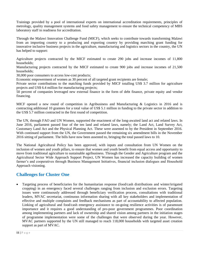Trainings provided by a pool of international experts on international accreditation requirements, principles of metrology, quality management systems and food safety management to ensure the technical competency of MBS laboratory staff in readiness for accreditation.

Through the Malawi Innovation Challenge Fund (MICF), which seeks to contribute towards transforming Malawi from an importing country to a producing and exporting country by providing marching grant funding for innovative inclusive business projects in the agriculture, manufacturing and logistics sectors in the country, the UN has helped to support:

Agriculture projects contracted by the MICF estimated to create 290 jobs and increase incomes of 11,800 households;

Manufacturing projects contracted by the MICF estimated to create 900 jobs and increase incomes of 21,500 households;

30,000 poor consumers to access low-cost products;

Economic empowerment of women as 30 percent of all targeted grant recipients are female;

Private sector contributions to the matching funds provided by MICF totalling US\$ 3.7 million for agriculture projects and US\$ 6.4 million for manufacturing projects;

50 percent of companies leveraged new external finance in the form of debt finance, private equity and vendor financing.

MICF opened a new round of competition in Agribusiness and Manufacturing & Logistics in 2016 and is contracting additional 10 grantees for a total value of US\$ 5.1 million in funding to the private sector in addition to the US\$ 5.7 million contracted in the first round of competition.

The UN, through FAO and UN Women, supported the enactment of the long-awaited land act and related laws. In June 2016, parliament passed four of the ten land and related laws, namely; the Land Act, Land Survey Act, Customary Land Act and the Physical Planning Act. These were assented to by the President in September 2016. With continued support from the UN, the Government passed the remaining six amendment bills in the November 2016 sitting of parliament. The bills have now been assented to, bringing the total passed laws to 10.

The National Agricultural Policy has been approved, with inputs and consultation from UN Women on the inclusion of women and youth pillars, to ensure that women and youth benefit from equal access and opportunity to move from traditional agriculture to sustainable agribusiness. Through the Gender and Agriculture program and the Agricultural Sector Wide Approach Support Project, UN Women has increased the capacity building of women farmer's and cooperatives through Business Management Initiatives, financial inclusion dialogues and Household Approach visioning.

## **Challenges for Cluster One**

 Targeting process of beneficiaries for the humanitarian response (food/cash distributions and winter/irrigated cropping) in an emergency faced several challenges ranging from inclusion and exclusion errors. Targeting issues were continuously addressed through beneficiary verification process, consultations with traditional leaders, MVAC secretariat, continuous information sharing with all key stakeholders and implementation of effective and multiple complaints and feedback mechanisms as part of accountability to affected population. Linking of agricultural and food/cash emergency assistance to on-going resilience activities is of paramount importance and it requires a good understanding of pro-poor government programmes. Poor coordination among implementing partners and lack of ownership and shared vision among partners in the initiation stages of programme implementation were some of the challenges that were observed during the year. However, MVAC partners supported by the UN still managed to reach 118,000 households with targeted asset creation support as part of MVAC.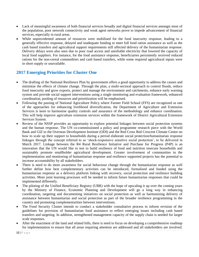- Lack of meaningful awareness of both financial services broadly and digital financial services amongst most of the population, poor network connectivity and weak agent networks prove to impede advancement of financial services, especially in rural areas.
- While unprecedented amount of resources were mobilised for the food insecurity response, leading to a generally effective response, delayed and inadequate funding to meet full food ration assistance as well as the cash based transfers and agricultural support requirements still affected delivery of the humanitarian response. Delivery delays were also seen due to poor road access and unreliable electricity that lowered the capacity of local food suppliers. For instance, for the food assistance response, beneficiaries persistently received reduced rations for the non-cereal commodities and cash based transfers, while some required agricultural inputs were in short supply or unavailable.

# **2017 Emerging Priorities for Cluster One**

- The drafting of the National Resilience Plan by government offers a good opportunity to address the causes and minimize the effects of climate change. Through the plan, a multi-sectoral approach to control floods, reduce food insecurity and grow exports, protect and manage the environment and catchments, enhance early warning system and provide social support interventions using a single monitoring and evaluation framework, enhanced coordination, pooling of resources and prioritization will be emphasised.
- Following the passing of National Agriculture Policy where Farmer Field School (FFS) are recognized as one of the approaches for enhancing livelihood diversification, the Department of Agriculture and Extension Services is keen to harmonise quality controls and assurance of the methodology and enhance coordination. This will help improve agriculture extension services within the framework of District Agricultural Extension Services System.
- Review of the NSSP provides an opportunity to explore potential linkages between social protection systems and the human response. The UN co-commissioned a policy and programme research piece with the World Bank and GIZ to the Overseas Development Institute (ODI) and the Red Cross Red Crescent Climate Centre on how to scale up their support to households during a period elaborate social protection/humanitarian response linkages through the concept referred to as 'shock-responsive sensitive social protection', to be delivered in March 2017. Linkage between the R4 Rural Resilience Initiative and Purchase for Progress (P4P) is an innovation that the UN would like to test to build resilience of food and nutrition insecure households and sustainably promote smallholder agricultural development. Greater involvement of communities in the implementation and monitoring of humanitarian response and resilience supported projects has the potential to increase accountability by all stakeholders.
- There is need to do more awareness for social behaviour change through the humanitarian response as well further define how best complementary activities can be introduced, formalized and funded using the humanitarian response as a delivery platform linking with recovery, social protection and resilience building activities. More joint learning processes will be needed to inform future humanitarian responses that could be implemented differently.
- The piloting of the Unified Beneficiary Registry (UBR) with the hope of upscaling it up over the coming years by the Ministry of Finance, Economic Planning and Development will go a long way in enhancing coordination, targeting and documenting initiatives on social protection as well as harmonizing delivery of assistance between humanitarian and social protection as part of the broader resilience programming in the country and promoting complementarities between interventions.
- The Food Security Cluster intends to conduct a stakeholder consultative process to inform revision of the guidelines for provision of humanitarian food assistance to reflect emerging issues including cash based transfers and targeting. In addition, strengthened management capacity of the supply chain is needed for larger scale responses.
- After the enactment of the land and related bills, there is need to focus on developing a comprehensive roadmap for implementation to ensure that all areas requiring attention are addressed and all stakeholders are involved.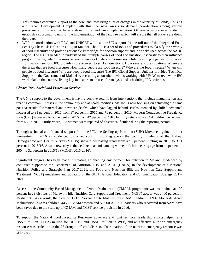This requires continued support as the new land laws bring a lot of changes in the Ministry of Lands, Housing and Urban Development. Coupled with this, the new laws also demand coordination among various government ministries that have a stake in the land laws implementation. Of greater importance is also to establish a coordinating unit for the implementation of the land laws which will ensure that all players are doing their part.

 WFP in coordination with FAO and UNICEF will lead the UN support for the roll out of the Integrated Food Security Phase Classification (IPC) in Malawi. The IPC is a set of tools and procedures to classify the severity of food insecurity and provide actionable knowledge for decision support and is widely used across the SADC region. The IPC is needed to understand the multiple causes of food and nutrition insecurity to then influence program design, which requires several sources of data and consensus whilst bringing together information from various sectors. IPC provides core answers to six key questions: How severe is the situation? Where are the areas that are food insecure? How many people are food insecure? Who are the food insecure? When will people be food insecure? Why are people food insecure? The IPC Global Support Unit has provided Technical Support to the Government of Malawi by recruiting a consultant who is working with MVAC to review the IPC work plan in the country, listing key indicators to be used for analysis and scheduling IPC activities.

#### <span id="page-12-0"></span>*Cluster Two: Social and Protection Services*

The UN´s support to the government is having positive returns from interventions that include immunisation and treating common illnesses in the community and at health facilities. Malawi is now focusing on achieving the same positive results for maternal and newborn deaths, which have lagged behind. Births attended by skilled personnel increased to 91 percent in 2016 from 87 percent in 2015 and 71 percent in 2010. Modern Contraceptive Prevalence Rate (CPR) increased to 58 percent in 2016 from 42 percent in 2010. Fertility rate is now at 4.4 children per woman from 5.7 in 2010. Furthermore, 183 women were repaired of obstetrical fistulae during the reporting period.

Through technical and financial support from the UN, the Scaling up Nutrition (SUN) Movement gained further momentum in 2016 as evidenced by a reduction in stunting across the country. Findings of the Malawi Demographic and Health Survey (MDHS) show a decreasing trend from 47.1 percent stunting in 2010 to 37.1 percent in 2015/16. Also noteworthy is the decline in anemia among women of child bearing age from 44 percent in 2004 to 32 percent in 2015/16 (MDHS, 2015-2016).

Significant progress has been made in creating an enabling environment for nutrition in Malawi, evidenced by continued support to the Department of Nutrition, HIV and AIDS (DNHA) in the development of a National Nutrition Policy and Strategic Plan 2017-2021, the Food and Nutrition Bill, the Nutrition Care Support and Treatment (NCST) guidelines and updating of the SUN National Education and Communication Strategy 2017- 2021.

Access to the Community Based Management of Acute Malnutrition (CMAM) programme was maintained at 100 percent in 29 districts of Malawi, while Nutrition Care Support and Treatment (NCST) access was at 60 percent in 15 districts. As a result, the lives of 33,121 Severe Acute Malnutrition (SAM) children, 94,937 Moderate Acute Malnutrition (MAM) children, 44,228 MAM women and 50,000 ART/TB patients who recovered from SAM have been saved due to the scale up of CMAM and NCST service provision in 2016.

To support the National Food Insecurity Response, advocacy and joint technical leadership efforts helped raise US\$39 million (US\$23 million for UNICEF and US\$16 million to WFP) and an effective nutrition emergency response was scaled up in the 25 drought-affected districts. Coordination of the nutrition emergency response was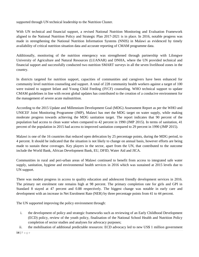supported through UN technical leadership to the Nutrition Cluster.

With UN technical and financial support, a revised National Nutrition Monitoring and Evaluation Framework aligned to the National Nutrition Policy and Strategic Plan 2017-2021 is in place. In 2016, notable progress was made in strengthening the National Nutrition Information Systems (NNIS) in Malawi as evidenced by timely availability of critical nutrition situation data and accurate reporting of CMAM programme data.

Additionally, monitoring of the nutrition emergency was strengthened through partnership with Lilongwe University of Agriculture and Natural Resources (LUANAR) and DNHA, where the UN provided technical and financial support and successfully conducted two nutrition SMART surveys in all the seven livelihood zones in the country.

In districts targeted for nutrition support, capacities of communities and caregivers have been enhanced for community level nutrition counseling and support. A total of 228 community health workers against a target of 100 were trained to support Infant and Young Child Feeding (IYCF) counseling. WHO technical support to update CMAM guidelines in line with recent global updates has contributed to the creation of a conducive environment for the management of severe acute malnutrition.

According to the 2015 Update and Millennium Development Goal (MDG) Assessment Report as per the WHO and UNICEF Joint Monitoring Programme (JMP), Malawi has met the MDG target on water supply, while making moderate progress towards achieving the MDG sanitation target. The report indicates that 90 percent of the population had access to clean water when compared to 42 percent in 1990 (JMP 2015). In terms of sanitation, 41 percent of the population in 2015 had access to improved sanitation compared to 29 percent in 1990 (JMP 2015).

Malawi is one of the 16 countries that reduced open defecation by 25 percentage points, during the MDG period, to 4 percent. It should be indicated that the situation is not likely to change on annual basis, however efforts are being made to sustain these coverages. Key players in the sector, apart from the UN, that contributed to the outcome include the World Bank, African Development Bank, EU, DFID, Water Aid and JICA.

Communities in rural and peri-urban areas of Malawi continued to benefit from access to integrated safe water supply, sanitation, hygiene and environmental health services in 2016 which was sustained at 2015 levels due to UN support.

There was modest progress in access to quality education and adolescent friendly development services in 2016. The primary net enrolment rate remains high at 98 percent. The primary completion rate for girls and GPI in Standard 8 stayed at 47 percent and 0.88 respectively. The biggest change was notable in early care and development with an increase in Net Enrolment Rate (NER) by three percentage points from 41 to 44 percent.

The UN supported improving the policy environment through:

- i. the development of policy and strategic frameworks such as reviewing of an Early Childhood Development (ECD) policy, review of the youth policy, finalisation of the National School Health and Nutrition Policy completion of sector studies and analyses for advocacy purposes;
- ii. the mobilisation of additional predictable resources: ECD advocacy led to new US\$ 1 million government

**14 |** P a g e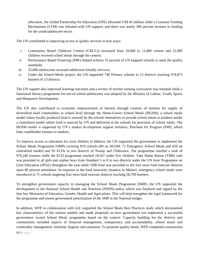allocation, the Global Partnership for Education (GPE) allocated US\$ 45 million while a Common Funding Mechanisms (CFM) was initiated with UN support, and there was nearly 300 percent increase in funding for the youth/adolescent sector.

The UN contributed to improving access to quality services in four ways:

- i. Community Based Childcare Centres (CBCCs) increased from 10,000 to 11,000 centres and 21,000 children received school meals through the centres;
- ii. Performance Based Financing (PBF) helped achieve 55 percent of UN targeted schools to meet the quality standards;
- iii. 35,000 adolescents accessed adolescent friendly services;
- iv. Under the School Meals project, the UN supported 748 Primary schools in 13 districts reaching 978,873 learners in 13 districts.

The UN support also improved learning outcomes and a review of teacher training curriculum was initiated while a functional literacy programme for out-of-school adolescents was adopted by the Ministry of Labour, Youth, Sports and Manpower Development.

The UN also contributed to economic empowerment of farmers through creation of markets for supply of diversified food commodities at school level through the Home-Grown School Meals (HGSM), a school meals model where locally produced food is sourced by the schools themselves to provide school meals to students unlike a centralised model where food is sourced by UN and delivered at the schools for provision of school meals. The HGSM model is supported by UN's market development support initiative, Purchase for Progress (P4P), which links smallholder farmers to markets.

To improve access to education for rural children in Malawi, the UN supported the government to implement the School Meals Programme (SMP) covering 819 schools (89 on HGSM, 71 Emergency School Meals and 659 on centralised model) and 93 ECDs in two districts of Nsanje and Chikwawa. The programme reached a total of 979,246 learners while the ECD programme reached 18,567 under five children. Take Home Ration (THR) cash was provided to all girls and orphan boys from Standard 5 to 8 in two districts under the UN Joint Programme on Girls Education (JPGE) throughout the year while THR food was provided to the four most food insecure districts upon 80 percent attendance. In response to the food insecurity situation in Malawi, emergency school meals were introduced in 71 schools targeting four most food insecure districts reaching 58,700 learners.

To strengthen government capacity in managing the School Meals Programme (SMP), the UN supported the development of the National School Health and Nutrition (NSHN) policy which was finalised and signed by the four key Ministries of Education, Gender, Health and Agriculture. This will help strengthen the legal framework for the programme and ensure government prioritization of the SMP in the National budget.

In addition, WFP in collaboration with GIZ supported the School Meals Best Practices study which documented key characteristics of the various models and made proposals on how government can implement a successful government owned School Meals programme based on the context. Capacity building for the districts and communities included aspects of financial management, transparency and accountability, school meals and commodity management, nutrition, hygiene and sanitation. To promote quality meals, WFP completed construction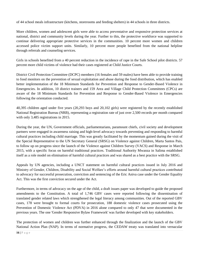of 44 school meals infrastructure (kitchens, storerooms and feeding shelters) in 44 schools in three districts.

More children, women and adolescent girls were able to access preventative and responsive protection services at national, district and community levels during the year. Further to this, the protective workforce was supported to continue delivering appropriate protective services in the communities. 10 percent more women and children accessed police victim support units. Similarly, 10 percent more people benefited from the national helpline through referrals and counseling services.

Girls in schools benefited from a 40 percent reduction in the incidence of rape in the Safe School pilot districts. 57 percent more child victims of violence had their cases registered at Child Justice Courts.

District Civil Protection Committee (DCPC) members (16 females and 59 males) have been able to provide training to food monitors on the prevention of sexual exploitation and abuse during the food distribution, which has enabled better implementation of the 18 Minimum Standards for Prevention and Response to Gender-Based Violence in Emergencies. In addition, 10 district trainers and 159 Area and Village Child Protection Committees (CPCs) are aware of the 18 Minimum Standards for Prevention and Response to Gender-Based Violence in Emergencies following the orientation conducted.

40,395 children aged under five years (20,293 boys and 20,102 girls) were registered by the recently established National Registration Bureau (NRB), representing a registration rate of just over 2,500 records per month compared with only 3,485 registrations in 2015.

During the year, the UN, Government officials, parliamentarians, paramount chiefs, civil society and development partners were engaged in awareness raising and high-level advocacy towards preventing and responding to harmful cultural practices including child marriage. This was greatly facilitated by the momentum gained during the visit of the Special Representative to the UN Secretary General (SRSG) on Violence against Children, Marta Santos Pais, to follow up on progress since the launch of the Violence against Children Survey (VACS) and Response in March 2015, with a specific focus on harmful traditional practices. Traditional Authority Mwanza in Salima established itself as a role model on elimination of harmful cultural practices and was shared as a best practice with the SRSG.

Appeals by UN agencies, including a UNCT statement on harmful cultural practices issued in July 2016 and Ministry of Gender, Children, Disability and Social Welfare's efforts around harmful cultural practices contributed to advocacy for successful prosecution, conviction and sentencing of the Eric Aniva case under the Gender Equality Act. This was the first conviction secured under the Act.

Furthermore, in terms of advocacy on the age of the child, a draft issues paper was developed to guide the proposed amendments to the Constitution. A total of 1,746 GBV cases were reported following the dissemination of translated gender related laws which strengthened the legal literacy among communities. Out of the reported GBV cases, 178 were brought to formal courts for prosecution, 188 domestic violence cases prosecuted using the Prevention of Domestic Violence Act (PDVA) in 2016 alone compared to only 47 that were documented in the previous years. The one 'Gender Responsive Bylaw Framework' was further developed with key stakeholders.

The protection of women and children was further enhanced through the finalization and the launch of the GBV National Action Plan (NAP). In terms of normative progress, the CEDAW treaty was translated into vernacular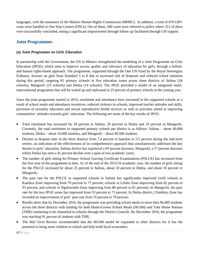languages, with the assistance of the Malawi Human Rights Commission (MHRC). In addition, a total of 879 GBV cases were handled in One Stop Centres (OSCs). Out of these, 440 cases were referred to police where 312 of them were successfully concluded, noting a significant improvement through follow up facilitated through UN support.

## **Joint Programmes**

#### *(a) Joint Programme on Girls Education*

In partnership with the Government, the UN in Malawi strengthened the modelling of a Joint Programme on Girls Education (JPGE), which aims to improve access, quality and relevance of education for girls, through a holistic and human rights-based approach. The programme, supported through the One UN Fund by the Royal Norwegian Embassy, focuses on girls from Standard 5 to 8 due to increased risk of dropouts and reduced school retention during this period, targeting 81 primary schools in five education zones across three districts of Salima (34 schools), Mangochi (33 schools) and Dedza (14 schools). The JPGE provided a model of an integrated multiinterventional programme that will be scaled up and replicated in 25 percent of primary schools in the coming year.

Since the joint programme started in 2014, enrolment and attendance have increased in the supported schools as a result of school meals and attendance incentives, reduced violence in schools, improved teacher attitudes and skills, provision of sexuality education and sexual reproductive health services as well as activities aimed at improving communities' attitudes towards girls' education. The following are some of the key results of JPGE:

- Total enrolment has increased by 34 percent in Salima, 20 percent in Dedza and 33 percent in Mangochi. Currently, the total enrolment in supported primary schools per district is as follows: Salima – about 40,000 students, Dedza – about 16,000 students, and Mangochi – about 40,500 students;
- Decline in dropout rates in the three districts from 7.4 percent at baseline to 5.5 percent during the mid-term review, an indication of the effectiveness of its comprehensive approach that simultaneously addresses the key threats to girls' education. Salima district has registered a 69 percent decrease, Mangochi, a 37 percent decrease whilst Dedza has seen a 41 percent decline over a span of two academic years;
- The number of girls sitting for Primary School Leaving Certificate Examinations (PSLCE) has increased from the first year of the programme to date. As of the end of the 2015/16 academic year, the number of girls sitting for the PSLCE increased by about 25 percent in Salima, about 33 percent in Dedza, and about 10 percent in Mangochi;
- The pass rate for the PSLCE in supported schools in Salima has significantly improved (with schools in Katelera Zone improving from 70 percent to 77 percent, schools in Lifidzi Zone improving from 82 percent to 93 percent, and schools in Ngolowindo Zone improving from 80 percent to 81 percent). In Mangochi, the pass rate for the two JPGE zones has improved from 53 percent to 71 percent. In Dedza district, Chimbiya Zone has recorded an improvement of girls' pass rate from 76 percent to 79 percent;
- Results show that by December 2016, the programme was providing school meals to more than 96,400 students across the three districts with funding for both Home-Grown School Meals (HGSM) and Take Home Rations (THR) continuing to be channeled to schools through the District Councils. By December 2016, the programme was reaching 91 percent of students with THR;
- The Mid Term Review recommended that the HGSM model be expanded to other districts for it has the potential to bring more children to school and help build local economies;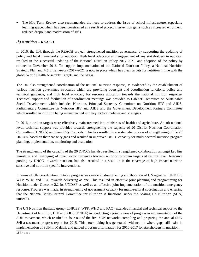• The Mid Term Review also recommended the need to address the issue of school infrastructure, especially learning space, which has been constrained as a result of project intervention gains such as increased enrolment, reduced dropout and readmission of girls.

#### *(b) Nutrition – REACH*

In 2016, the UN, through the REACH project, strengthened nutrition governance, by supporting the updating of policy and legal frameworks for nutrition. High level advocacy and engagement of key stakeholders in nutrition resulted in the successful updating of the National Nutrition Policy 2017-2021, and adoption of the policy by cabinet in November 2016. To support implementation of the National Nutrition Policy, a National Nutrition Strategic Plan and M&E framework 2017-2021 is now in place which has clear targets for nutrition in line with the global World Health Assembly Targets and the SDGs.

The UN also strengthened coordination of the national nutrition response, as evidenced by the establishment of various nutrition governance structures which are providing oversight and coordination functions, policy and technical guidance, and high level advocacy for resource allocation towards the national nutrition response. Technical support and facilitation of coordination meetings was provided to Cabinet Committee on Sustainable Social Development which includes Nutrition, Principal Secretary Committee on Nutrition HIV and AIDS, Parliamentary Committee on Nutrition HIV and AIDS and the Government Development Partners Committee which resulted in nutrition being mainstreamed into key sectoral policies and strategies.

In 2016, nutrition targets were effectively mainstreamed into ministries of health and agriculture. At sub-national level, technical support was provided towards strengthening the capacity of 20 District Nutrition Coordination Committees (DNCCs) and three City Councils. This has resulted in a systematic process of strengthening of the 20 DNCCs, based on their capacity gaps and resulted in improved DNCC capacity for multi-sectoral nutrition program planning, implementation, monitoring and evaluation.

The strengthening of the capacity of the 20 DNCCs has also resulted in strengthened collaboration amongst key line ministries and leveraging of other sector resources towards nutrition program targets at district level. Resource pooling by DNCCs towards nutrition, has also resulted in a scale up in the coverage of high impact nutrition sensitive and nutrition specific interventions.

In terms of UN coordination, notable progress was made in strengthening collaboration of UN agencies, UNICEF, WFP, WHO and FAO towards delivering as one. This resulted in effective joint planning and programming for Nutrition under Outcome 2.2 for UNDAF as well as an effective joint implementation of the nutrition emergency response. Progress was made, in strengthening of government capacity for multi-sectoral coordination and ensuring that the National Multi-Sectoral Committee for Nutrition is functional under the Scaling Up Nutrition (SUN) umbrella.

The UN Nutrition thematic group (UNICEF, WFP, WHO and FAO) extended financial and technical support to the Department of Nutrition, HIV and AIDS (DNHA) in conducting a joint review of progress in implementation of the SUN movement, which resulted in four out of the five SUN networks compiling and preparing the annual SUN Self-assessment progress report for 2015. This stock taking has generated evidence on where gaps still exist in implementation of SUN in Malawi, and guided program prioritization for 2016-2017 for stakeholders in nutrition.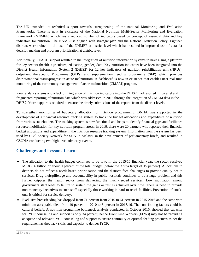The UN extended its technical support towards strengthening of the national Monitoring and Evaluation Frameworks. There is now in existence of the National Nutrition Multi-Sector Monitoring and Evaluation Framework (NNMEF) which has a reduced number of indicators based on concept of essential data and key indicators for nutrition. The NNMEF is aligned with strategic plan and the National Nutrition Policy. Eighteen districts were trained in the use of the NNMEF at district level which has resulted in improved use of data for decision making and program prioritization at district level.

Additionally, REACH support resulted in the integration of nutrition information systems to have a single platform for key sectors (health, agriculture, education, gender) data. Key nutrition indicators have been integrated into the District Health Information System 2 (DHIS2) for 12 key indicators of nutrition rehabilitation unit (NRUs), outpatient therapeutic Programme (OTPs) and supplementary feeding programme (SFP) which provides district/national status/progress in acute malnutrition. A dashboard is now in existence that enables near real time monitoring of the community management of acute malnutrition (CMAM) program.

Parallel data systems and a lack of integration of nutrition indicators into the DHIS2 had resulted in parallel and fragmented reporting of nutrition data which was addressed in 2016 through the integration of CMAM data in the DHIS2. More support is required to ensure the timely submissions of the reports from the district levels.

To strengthen monitoring of budgetary allocation for nutrition programming, DNHA was supported in the development of a financial resource tracking system to track the budget allocations and expenditure of nutrition from various stakeholders. The tracking system is now functional and helps to identify financial gaps and facilitates resource mobilisation for key nutrition program areas. In 2016, there were 20 partners who reported their financial budget allocations and expenditure in the nutrition resource tracking system. Information from the system has been used by Civil Society Network for SUN in Malawi, in the development of parliamentary briefs, and resulted in CSONA conducting two high level advocacy events.

## **Challenges and Lessons Learnt**

- The allocation to the health budget continues to be low. In the 2015/16 financial year, the sector received MK85.86 billion or about 9 percent of the total budget (below the Abuja target of 15 percent). Allocations to districts do not reflect a needs-based prioritization and the districts face challenges to provide quality health services. Drug theft/pilferage and accountability in public hospitals continues to be a huge problem and this further cripples the health sector from delivering the much-needed services. Low motivation among government staff leads to failure to sustain the gains or results achieved over time. There is need to provide non-monetary incentives to such staff especially those working in hard to reach facilities. Prevention of stockouts is critical for service delivery.
- Exclusive breastfeeding has dropped from 71 percent from 2010 to 61 percent in 2015-2016 and the same with minimum acceptable diets from 10 percent in 2010 to 8 percent in 2015/16. The contributing factors could be cultural beliefs. A nutrition programme bottleneck analysis conducted in October 2016, showed that capacity for IYCF counseling and support is only 34 percent, hence Front Line Workers (FLWs) may not be providing adequate and relevant IYCF counseling and support to ensure continuity of optimal feeding practices as per the requirement as they lack skills and capacity to deliver IYCF.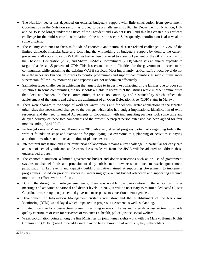- The Nutrition sector has depended on external budgetary support with little contribution from government. Coordination in the Nutrition sector has proved to be a challenge in 2016. The Department of Nutrition, HIV and AIDS is no longer under the Office of the President and Cabinet (OPC) and this has created a significant challenge for the multi-sectoral coordination of the nutrition sector. Subsequently, coordination is also weak in some districts.
- The country continues to faces multitude of economic and natural disaster related challenges. In view of the limited domestic financial base and following the withholding of budgetary support by donors, the current government allocation towards WASH has further been reduced to about 0.1 percent of the GDP in contrast to the Thekwini Declaration (2008) and Sharm El-Sheik Commitment (2008) which sets an annual expenditure target of at least 1.5 percent of GDP. This has created more difficulties for the government to reach more communities while sustaining the existing WASH services. Most importantly, critical staff at local level do not have the necessary financial resources to monitor programmes and support communities. In such circumstances supervision, follow ups, monitoring and reporting are not undertaken effectively.
- Sanitation faces challenges in achieving the targets due to issues like collapsing of the latrines due to poor soil structures. In some communities, the households are able to reconstruct the latrines while in other communities that does not happen. In these communities, there is no continuity and sustainability which affects the achievement of the targets and defeats the attainment of an Open Defecation Free (ODF) status in Malawi.
- There were changes to the scope of work for water kiosks and for schools' water connections in the targeted urban sites that necessitated changes to the designs which also had budget implications. Identification of extra resources and the need to amend Agreements of Cooperation with implementing partners took some time and delayed delivery of these two components of the project. A project period extension has been agreed for four months ending April 2017.
- Prolonged rains in Mzuzu and Karonga in 2016 adversely affected progress particularly regarding toilets that were at foundation stage and excavation for pipe laying. To overcome this, planning of activities is paying attention to weather conditions at the time of planned execution.
- Intersectoral integration and inter-ministerial collaboration remains a key challenge, in particular for early care and out of school youth and adolescents. Lessons learnt from the JPGE will be adopted to address these underserved groups.
- The economic situation, a limited government budget and donor restrictions such as on use of government systems to channel funds and provision of daily subsistence allowances continued to restrict government participation in key events and capacity building initiatives aimed at supporting Government to implement programmes. Based on previous successes, increasing government budget advocacy and supporting resource mobilisation efforts will be a focus.
- During the drought and refugee emergency, there was notably low participation in the education cluster meetings and activities at national and district levels. In 2017, it will be necessary to recruit a dedicated Cluster Coordinator to strengthen partner and government response to education in emergencies.
- Development of Information Management Systems was slow and the establishment of the Real-Time Monitoring (RTM) was delayed which impacted on progress assessment as well as planning.
- Limited incentive for cross-sectoral planning resulting in weak linkages and referrals across sectors to provide quality continuum of care for survivors of violence i.e. health, police, justice, social welfare.
- Weak coordination points among the line Ministries on joint human rights work with the Malawi Human Rights Commission (MHRC) need to be addressed to avoid late submission of reports by key stakeholders.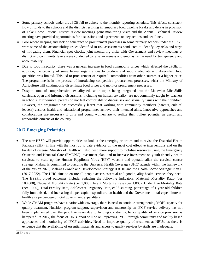- Some primary schools under the JPGE fail to adhere to the monthly reporting schedule. This affects consistent flow of funds to the schools and the districts resulting in temporary food pipeline breaks and delays in provision of Take Home Rations. District review meetings, joint monitoring visits and the Annual Technical Review meeting have provided opportunities for discussions and agreements on key actions and deadlines.
- Poor record keeping and lack of adherence to procurement processes in some primary schools under the JPGE were some of the accountability issues identified in risk assessments conducted to identify key risks and ways of mitigating them. Financial spot checks, joint monitoring visits with Government and review meetings at district and community levels were conducted to raise awareness and emphasize the need for transparency and accountability.
- Due to food insecurity, there was a general increase in food commodity prices which affected the JPGE. In addition, the capacity of some farmer organizations to produce and supply adequate and diversified food quantities was limited. This led to procurement of required commodities from other sources at a higher price. The programme is in the process of introducing competitive procurement processes, whist the Ministry of Agriculture will continuously disseminate food prices and monitor procurement processes.
- Despite some of comprehensive sexuality education topics being integrated into the Malawian Life Skills curricula, open and informed discussions, including on human sexuality, are not commonly taught by teachers in schools. Furthermore, parents do not feel comfortable to discuss sex and sexuality issues with their children. However, the programme has successfully learnt that working with community members (parents, cultural leaders) ensures health and educational programmes achieve their intended aims. Innovative approaches and collaborations are necessary if girls and young women are to realize their fullest potential as useful and responsible citizens of the country.

# **2017 Emerging Priorities**

- The new HSSP will provide opportunities to look at the emerging priorities and to revise the Essential Health Package (EHP) in line with the most up to date evidence on the most cost effective interventions and on the burden of disease. Ministry of Health will also need more support to mobilise resources using the Emergency Obstetric and Neonatal Care (EMONC) investment plan, and to increase investment on youth friendly health services, to scale up the Human Pappiloma Virus (HPV) vaccine and operationalize the cervical cancer strategy. Malawi is committed to pursuing the Universal Health Coverage (UHC) agenda within the framework of the Vision 2020, Malawi Growth and Development Strategy II & III and the Health Sector Strategic Plan II (2017-2022). The UHC aims to ensure all people access essential and good quality health services they need. The HSSPII broad outcomes include: reducing the following indicators: Maternal Mortality Ratio (per 100,000), Neonatal Mortality Rate (per 1,000), Infant Mortality Rate (per 1,000), Under five Mortality Rate (per 1,000), Total Fertility Rate, Adolescent Pregnancy Rate, child stunting, percentage of 1-year-old children fully immunised, and increasing the per capita expenditure on health and the Government total expenditure on health as a percentage of total government expenditure.
- While CMAM programs have a nationwide coverage, there is need to continue strengthening MOH capacity for quality treatment. Nutrition program support, supervision and mentorship on IYCF service delivery has not been implemented over the past five years due to funding constraints, hence quality of service provision is hampered. In 2017, the focus of UN support will be on improving IYCF through community and facility based approaches and monitoring of IYCF activities. Need to improve quality of treatment at NRUs, as there is evidence that the availability of essential materials and access to quality services by staffs are inadequate.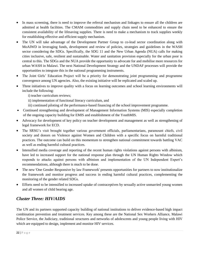- In mass screening, there is need to improve the referral mechanism and linkages to ensure all the children are admitted at health facilities. The CMAM commodities and supply chain need to be enhanced to ensure the consistent availability of the lifesaving supplies. There is need to make a mechanism to track supplies weekly for establishing effective and efficient supply mechanism.
- The UN will take advantage of the Development Partner Group to co-lead sector coordination along with MoAIWD in leveraging funds, development and review of policies, strategies and guidelines in the WASH sector considering the SDGs. Specifically, the SDG 11 and the New Urban Agenda (NUA) calls for making cities inclusive, safe, resilient and sustainable. Water and sanitation provision especially for the urban poor is central to this. The SDGs and the NUA provide the opportunity to advocate for and mobilise more resources for urban WASH in Malawi. The next National Development Strategy and the UNDAF processes will provide the opportunities to integrate this in the national programming instruments.
- The Joint Girls' Education Project will be a priority for demonstrating joint programming and programme convergence among UN agencies. Also, the existing initiative will be replicated and scaled up.
- Three initiatives to improve quality with a focus on learning outcomes and school learning environments will include the following:
	- i) teacher curriculum reviews;
	- ii) implementation of functional literacy curriculum, and
	- iii) continued piloting of the performance-based financing of the school improvement programme.
- Continued strengthening and development of Management Information Systems (MIS) especially completion of the ongoing capacity building for EMIS and establishment of the YouthMIS.
- Advocacy for development of key policy on teacher development and management as well as strengthening of legal framework for ECD.
- The SRSG's visit brought together various government officials, parliamentarians, paramount chiefs, civil society and donors on Violence against Women and Children with a specific focus on harmful traditional practices. The outcome can build on this momentum to strengthen national commitment towards battling VAC as well as ending harmful cultural practices.
- Intensified media coverage and reporting of the recent human rights violations against persons with albinism, have led to increased support for the national response plan through the UN Human Rights Window which responds to attacks against persons with albinism and implementation of the UN Independent Expert's recommendations, although there is much to be done.
- The new 'One Gender Responsive by law Framework' presents opportunities for partners to now institutionalize the framework and monitor progress and success in ending harmful cultural practices, complementing the monitoring of the gender related SDGs.
- Efforts need to be intensified to increased uptake of contraceptives by sexually active unmarried young women and all women of child bearing age.

# <span id="page-21-0"></span>*Cluster Three: HIV/AIDS*

The UN and its partners supported capacity building of national institutions to deliver evidence-based high impact combination prevention and treatment services. Key among these are the National Sex Workers Alliance, Malawi Police Service, the Judiciary, traditional structures and networks of adolescents and young people living with HIV which are equipped to design, implement and monitor HIV services.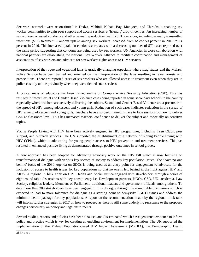Sex work networks were reconstituted in Dedza, Mchinji, Nkhata Bay, Mangochi and Chiradzulu enabling sex worker communities to gain peer support and access services at 'friendly' drop-in centres. An increasing number of sex workers accessed condoms and other sexual reproductive health (SRH) services, including sexually transmitted infections (STI) treatment. Condom uptake among sex workers increased from below 50 percent in 2015 to 74 percent in 2016. This increased uptake in condoms correlates with a decreasing number of STI cases reported over the same period suggesting that condoms are being used by sex workers. UN Agencies in close collaboration with national partners are establishing the National Sex Worker Alliance to facilitate coordination and management of associations of sex workers and advocate for sex workers rights access to HIV services.

Interpretation of the rogue and vagabond laws is gradually changing especially where magistrates and the Malawi Police Service have been trained and oriented on the interpretation of the laws resulting in fewer arrests and prosecutions. There are reported cases of sex workers who are allowed access to treatment even when they are in police custody unlike previously when they were denied such services.

A critical mass of educators has been trained online on Comprehensive Sexuality Education (CSE). This has resulted in fewer Sexual and Gender Based Violence cases being reported in some secondary schools in the country especially where teachers are actively delivering the subject. Sexual and Gender Based Violence are a precursor to the spread of HIV among adolescent and young girls. Reduction of such cases indicates reduction in the spread of HIV among adolescent and young girls. Teachers have also been trained in face to face sessions on how to deliver CSE at classroom level. This has increased teachers' confidence to deliver the subject and especially on sensitive topics.

Young People Living with HIV have been actively engaged in HIV programmes, including Teen Clubs, peer support, and outreach services. The UN supported the establishment of a network of Young People Living with HIV (YPlus), which is advocating for young people access to HIV prevention and treatment services. This has resulted in enhanced positive living as demonstrated through positive outcomes in school grades.

A new approach has been adopted for advancing advocacy work on the HIV bill which is now focusing on transformational dialogue with various key sectors of society to address key population issues. The 'leave no one behind' focus of the 2030 Agenda on SDGs is being used as an entry point for engagement to advocate for the inclusion of access to health issues for key populations so that no one is left behind in the fight against HIV and AIDS. A regional 'Think Tank on HIV, Health and Social Justice engaged with stakeholders through a series of eight round table discussions with key constituency i.e. Development partners, NGOs, CSO, UN, academia, Law Society, religious leaders, Members of Parliament, traditional leaders and government officials among others. To date more than 300 stakeholders have been engaged in this dialogue through the round table discussions which is expected to lead to more tolerance for dialogue as a starting point to demystify LGBTI issues and address the minimum health package for key populations. A report on the recommendations made by the regional think tank will inform further strategies in 2017 on how to proceed as there is still some underlying resistance to the proposed changes particularly on policy and legal instruments.

Several studies, reports and policies have been finalised and disseminated which have generated evidence to inform policy and practice which is key for creating an enabling environment for implementation. The UN supported the implementation of the Malawi Population-based HIV Impact Assessment (MPHIA), the Demographic Health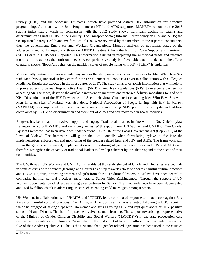Survey (DHS) and the Spectrum Estimates, which have provided critical HIV information for effective programming. Additionally, the Joint Programme on HIV and AIDS supported MANET+ to conduct the 2016 stigma index study, which in comparison with the 2012 study shows significant decline in stigma and discrimination against PLHIV in the Country. The Transport Sector; Informal Sector policy on HIV and AIDS; the Occupational Safety Health and Welfare Act of 1997 were reviewed by the members of the tripartite constituents, thus the government, Employers and Workers Organizations. Monthly analysis of nutritional status of the adolescents and adults especially those on ART/TB treatment from the Nutrition Care Support and Treatment (NCST) data in DHIS was supported. This information assisted in projecting the nutritional needs and resource mobilisation to address the nutritional needs. A comprehensive analysis of available data to understand the effects of natural shocks (floods/droughts) on the nutrition status of people living with HIV (PLHIV) is underway.

More equally pertinent studies are underway such as the study on access to health services for Men Who Have Sex with Men (MSM) undertaken by Centre for the Development of People (CEDEP) in collaboration with College of Medicine. Results are expected in the first quarter of 2017. The study aims to establish information that will help to improve access to Sexual Reproductive Health (SRH) among Key Populations (KPs) to overcome barriers for accessing SRH services, describe the available intervention measures and preferred delivery modalities for and with KPs. Dissemination of the HIV Prevalence and Socio-behavioral Characteristics among Men Who Have Sex with Men in seven sites of Malawi was also done. National Association of People Living with HIV in Malawi (NAPHAM) was supported to operationalise a real-time monitoring SMS platform to compile and address complaints by PLHIV on discrimination and stock-out of ARVs and cotrimoxazole in health facilities.

Progress has been made to involve, support and engage Traditional Leaders in line with the One Chiefs bylaw framework to curb HIV/AIDS and early pregnancies. With support from UN Women and UNAIDS, One Chiefs' Bylaws Framework has been developed under sections 103 to 107 of the Local Government Act (Cap.22:01) of the Laws of Malawi. The framework will guide the local councils when formulating bylaws to facilitate the implementation, enforcement and monitoring of the Gender related laws and HIV and AIDS. The framework will fill in the gaps of enforcement, implementation and monitoring of gender related laws and HIV and AIDS and therefore strengthen the capacity of traditional leaders to develop coherent bylaws that respond to the needs of their communities.

The UN, through UN Women and UNFPA, has facilitated the establishment of Chiefs and Chiefs' Wives councils in some districts of the country (Karonga and Chitipa) as a step towards efforts to address harmful cultural practices and HIV/AIDS, thus, protecting women and girls from abuse. Traditional leaders in Malawi have been central to combating harmful cultural practices, most notably, Senior Chief Kachindamoto. Through the support of UN Women, documentation of effective strategies undertaken by Senior Chief Kachindamoto have been documented and used by fellow chiefs in addressing issues such as ending child marriages, amongst others.

UN Women, in collaboration with UNAIDS and UNICEF, led a coordinated response to a court case against Eric Aniva on harmful cultural practices. Eric Aniva, an HIV positive man was arrested following a BBC report in which he bragged of having slept with 104 women and girls as young as 12 and kept quiet about his HIV positive status in Nsanje District. This harmful practice involved sexual cleansing. The support towards legal representative of the Ministry of Gender Children Disability and Social Welfare (MoGCDSW) in the state prosecution case resulted in the sentencing of Aniva to 24 months for the first count of harmful cultural practices under the section five of the Gender Equality Act. This is the first time that a gender related legislation has been used in the court of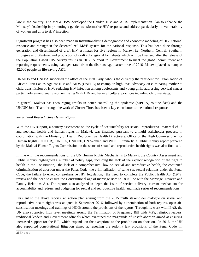law in the country. The MoGCDSW developed the Gender, HIV and AIDS Implementation Plan to enhance the Ministry's leadership in promoting a gender transformative HIV response and address particularly the vulnerability of women and girls to HIV infection.

Significant progress has also been made in Institutionalizing demographic and economic modeling of HIV national response and strengthen the decentralized M&E system for the national response. This has been done through generation and disseminated of draft HIV estimates for five regions in Malawi i.e. Northern, Central, Southern, Lilongwe and Blantyre; and production of draft sub-regional fact sheets which will be finalised after the release of the Population Based HIV Survey results in 2017. Support to Government to meet the global commitment and reporting requirements, using data generated from the districts e.g. quarter three of 2016, Malawi placed as many as 42,000 people on life-saving ART.

UNAIDS and UNFPA supported the office of the First Lady, who is the currently the president for Organization of African First Ladies Against HIV and AIDS (OAFLA) to champion high level advocacy on eliminating mother to child transmission of HIV, reducing HIV infection among adolescents and young girls, addressing cervical cancer particularly among young women Living With HIV and harmful cultural practices including child marriage.

In general, Malawi has encouraging results in better controlling the epidemic (MPHIA, routine data) and the UN/UN Joint Team through the work of Cluster Three has been a key contributor to the national response.

#### *Sexual and Reproductive Health Rights*

With the UN support, a country assessment on the cycle of accountability for sexual, reproductive, maternal child and neonatal health and human rights in Malawi, was finalised pursuant to a multi stakeholder process, in coordination with the Ministry of Health Reproductive Health Directorate, Office of the High Commissioner for Human Rights (OHCHR), UNFPA, UNICEF, UN Women and WHO. Similarly, a Public Inquiry report prepared by the Malawi Human Rights Commission on the status of sexual and reproductive health rights was also finalised.

In line with the recommendations of the UN Human Rights Mechanisms to Malawi, the Country Assessment and Public inquiry highlighted a number of policy gaps, including the lack of the explicit recognition of the right to health in the Constitution, the lack of a comprehensive law on sexual and reproductive health, the continued criminalisation of abortion under the Penal Code, the criminalisation of same sex sexual relations under the Penal Code, the failure to enact comprehensive HIV legislation, the need to complete the Public Health Act (1949) review and the need to ensure the Constitutional age of marriage rises to 18 in line with the Marriage, Divorce and Family Relations Act. The reports also analysed in depth the issue of service delivery, current mechanism for accountability and redress and budgeting for sexual and reproductive health, and made series of recommendations.

Pursuant to the above reports, an action plan arising from the 2015 multi stakeholder dialogue on sexual and reproductive health rights was adopted in September 2016, followed by dissemination of both reports, open airsensitisation meetings and trainings of NGOs around the provisions of the reports. Through its work with IPAS, the UN also supported high level meetings around the Termination of Pregnancy Bill with MPs, religious leaders, traditional leaders and Government officials which examined the magnitude of unsafe abortion aimed at ensuring increased support for the Bill, which expands on the exceptions to the prohibition on abortion. In 2016, the UN also supported constitutional litigation aimed at repealing the sodomy law provisions of the Penal Code. In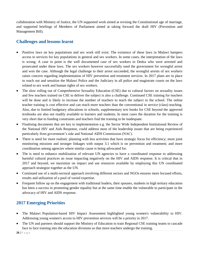collaboration with Ministry of Justice, the UN supported work aimed at revising the Constitutional age of marriage, and supported briefings of Members of Parliament aimed at taking forward the draft HIV (Prevention and Management Bill).

# **Challenges and lessons learnt**

- Punitive laws on key populations and sex work still exist. The existence of these laws in Malawi hampers access to services for key populations in general and sex workers. In some cases, the interpretation of the laws is wrong. A case in point is the well documented case of sex workers in Dedza who were arrested and prosecuted under these laws. The sex workers however successfully sued the government for wrongful arrest and won the case. Although the legal challenge to their arrest succeeded, the wrongful arrests of sex workers raises concern regarding implementation of HIV prevention and treatment services. In 2017 plans are in place to reach out and sensitize the Malawi Police and the Judiciary in all police and magistrate courts on the laws related to sex work and human rights of sex workers.
- The slow rolling out of Comprehensive Sexuality Education (CSE) due to cultural factors on sexuality issues and few teachers trained on CSE to deliver the subject is also a challenge. Continued CSE training for teachers will be done and is likely to increase the number of teachers to teach the subject in the school. The online teacher training is cost effective and can reach more teachers than the conventional in service (class) teaching. Also, due to limited budgetary allocations to schools, supplementary text books for CSE beyond the approved textbooks are also not readily available to learners and students. In most cases the duration for the training is very short due to funding constraints and teachers find the training to be inadequate.
- Finalising documents that are key to implementation e.g. the Sector Wide Independent Institutional Review of the National HIV and Aids Response, could address most of the leadership issues that are being experienced particularly from government's side and National AIDS Commission (NAC).
- There is need for more realistic planning with less activities that have strategic focus for efficiency; more joint monitoring missions and stronger linkages with output 3.1 which is on prevention and treatment; and more coordination among agencies where similar cause is being advocated for.
- The is need to enhance mobilization of relevant UN agencies to have a coordinated response to addressing harmful cultural practices an issue impacting negatively on the HIV and AIDS response. It is critical that in 2017 and beyond, we maximize on impact and use resources available by employing this UN coordinated approach strategize together as the UN.
- Continued use of a multi-sectoral approach involving different sectors and NGOs ensures more focused efforts, results and utilization of a pool of varied expertise.
- Frequent follow up on the engagement with traditional leaders, their spouses, students in high tertiary education has been a success in promoting gender equality but at the same time enable the vulnerable to participate in the advocacy of HIV and AIDS response.

# **2017 Emerging Priorities**

- The Malawi Population-based HIV Impact Assessment highlighted young women's vulnerability to HIV. Addressing young women's access to HIV prevention services will be a priority in 2017.
- The UN and partners should support the Ministry of Education to train Regional CSE training teams to cascade face to face training into the education divisions so that more teachers undergo the training.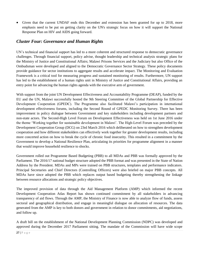Given that the current UNDAF ends this December and extension has been granted for up to 2018, more emphasis need to be put on getting clarity on the UN's strategic focus on how it will support the National Response Plan on HIV and AIDS going forward.

# <span id="page-26-0"></span>*Cluster Four: Governance and Human Rights*

UN's technical and financial support has led to a more coherent and structured response to democratic governance challenges. Through financial support, policy advise, thought leadership and technical analysis strategic plans for the Ministry of Justice and Constitutional Affairs; Malawi Prisons Services and the Judiciary but also Office of the Ombudsman were developed and aligned to the Democratic Governance Sector Strategy. These policy documents provide guidance for sector institutions to aggregate results and accelerate impact. The Monitoring and Evaluation Framework is a critical tool for measuring progress and sustained monitoring of results. Furthermore, UN support has led to the establishment of a human rights unit in Ministry of Justice and Constitutional Affairs, providing an entry point for advancing the human rights agenda with the executive arm of government.

With support from the joint UN Development Effectiveness and Accountability Programme (DEAP), funded by the EU and the UN, Malawi successfully hosted the 9th Steering Committee of the Global Partnership for Effective Development Cooperation (GPEDC). The Programme also facilitated Malawi's participation in international development effectiveness forums, including the Second Round of GPEDC Monitoring Survey. There has been improvement in policy dialogue between Government and key stakeholders including development partners and non-state actors. The Second-High Level Forum on Development Effectiveness was held on 1st June 2016 under the theme 'Working together for sustainable development in Malawi'. The High-Level Forum was preceded by the Development Cooperation Group (DCG) on 23rd March 2016 which deliberated on how to strengthen development cooperation and how different stakeholders can effectively work together for greater development results, including more concerted action on how to break the cycle of chronic food insecurity. This resulted in a commitment by the Government to develop a National Resilience Plan, articulating its priorities for programme alignment in a manner that would improve household resilience to shocks.

Government rolled out Programme Based Budgeting (PBB) to all MDAs and PBB was formally approved by the Parliament. The 2016/17 national budget structure adopted the PBB format and was presented in the State of Nation Address by the President. MDAs and MPs were trained on PBB structures, templates and performance indicators. Principal Secretaries and Chief Directors (Controlling Officers) were also briefed on major PBB concepts. All MDAs have since adopted the PBB which replaces output based budgeting thereby strengthening the linkage between resource allocations and strategic policy objectives.

The improved provision of data through the Aid Management Platform (AMP) which informed the recent Development Cooperation Atlas Report has shown continued commitment by all stakeholders in advancing transparency of aid flows. Through the AMP, the Ministry of Finance is now able to analyze flow of funds, assess sectoral and geographical distribution, and engage in meaningful dialogue on allocation of resources. The data generated from the AMP is key to both donors and government in relation to donor commitments, aid negotiations, and follow up.

A draft bill on the establishment of the National Development Planning Commission (NDPC) was developed and approved during the December 2017 Parliament sitting. The mandate of the Commission will have wide scope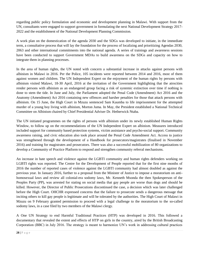regarding public policy formulation and economic and development planning in Malawi. With support from the UN, consultants were engaged to support government in formulating the next National Development Strategy 2017- 2022 and the establishment of the National Development Planning Commission.

A work plan on the domestication of the agenda 2030 and the SDGs was developed to initiate, in the immediate term, a consultative process that will lay the foundation for the process of localizing and prioritizing Agendas 2030, 2063 and other international commitments into the national agenda. A series of trainings and awareness sessions have been conducted to support Government MDAs to build awareness on the SDGs and capacity on how to integrate them in planning processes.

In the area of human rights, the UN noted with concern a substantial increase in attacks against persons with albinism in Malawi in 2016. Per the Police, 105 incidents were reported between 2014 and 2016, most of them against women and children. The UN Independent Expert on the enjoyment of the human rights by persons with albinism visited Malawi, 18-30 April, 2016 at the invitation of the Government highlighting that the atrocities render persons with albinism as an endangered group facing a risk of systemic extinction over time if nothing is done to stem the tide. In June and July, the Parliament adopted the Penal Code (Amendment) Act 2016 and the Anatomy (Amendment) Act 2016 containing new offences and harsher penalties for those that attack persons with albinism. On 15 June, the High Court in Mzuzu sentenced Sam Kaumba to life imprisonment for the attempted murder of a young boy living with albinism, Morton Juma. In May, the President established a National Technical Committee on Albinism chaired by Chief Presidential Adviser Dr. Hetherwick Ntaba.

The UN initiated programmes on the rights of persons with albinism under its newly established Human Rights Window, to follow up on the recommendations of the UN Independent Expert on albinism. Measures introduced included support for community based protection systems, victim assistance and psycho-social support. Community awareness raising, and civic education also took place around the Penal Code Amendment Act. Access to justice was strengthened through the development of a Handbook for prosecutors/magistrates (finalised in November 2016) and training for magistrates and prosecutors. There was also a successful mobilization of 80 organizations to develop a Community of Practice Platform to respond and strengthen community referral mechanisms.

An increase in hate speech and violence against the LGBTI community and human rights defenders working on LGBTI rights was reported. The Centre for the Development of People reported that for the first nine months of 2016 the number of reported cases of violence against the LGBTI community had almost doubled as against the previous year. In January 2016, further to a proposal from the Minister of Justice to impose a moratorium on antihomosexual laws and review all colonial-era sodomy laws, Mr. Kenneth Msonda the then Spokesperson of the Peoples Party (PP), was arrested for stating on social media that gay people are worse than dogs and should be killed. However, the Director of Public Prosecutions discontinued the case, a decision which was later challenged before the High Court. OHCHR expressed concerns that the failure to prosecute sends a dangerous message that inciting others to kill gay people is legitimate and will be tolerated by the authorities. The High Court of Malawi in Mzuzu on 9 February granted permission to proceed with a legal challenge to the moratorium to the so-called sodomy laws, in a case filed by two members of the Malawi clergy.

A One UN Strategy to end Harmful Traditional Practices (HTP) was developed in 2016. This followed a documentary that revealed the extent and effects of HTP on girls in the country, aired by the British Broadcasting Corporation (BBC) in July 2016. The strategy is meant to harmonize UN's work in addressing cultural practices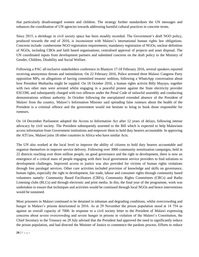that particularly disadvantaged women and children. The strategy further standardizes the UN messages and enhances the coordination of UN agencies towards addressing harmful cultural practices in concrete terms.

Since 2015, a shrinkage in civil society space has been steadily recorded. The Government's draft NGO policy, produced towards the end of 2016, is inconsistent with Malawi's international human rights law obligations. Concerns include: cumbersome NGO registration requirements; mandatory registration of NGOs; unclear definition of NGOs, including CBOs and faith based organisations; centralised approval of projects and asset disposal. The UN coordinated inputs from development partners and submitted concerns on the draft policy to the Ministry of Gender, Children, Disability and Social Welfare.

Following a PAC all-inclusive stakeholders conference in Blantyre 17-18 February 2016, several speakers reported receiving anonymous threats and intimidation. On 22 February 2016, Police arrested three Malawi Congress Party opposition MPs, on allegations of having committed treason/ sedition, following a WhatsApp conversation about how President Mutharika might be toppled. On 18 October 2016, a human rights activist Billy Mayaya, together with two other men were arrested whilst engaging in a peaceful protest against the State electricity provider ESCOM, and subsequently charged with two offences under the Penal Code of unlawful assembly and conducting demonstrations without authority. In October following the unexplained extended absence of the President of Malawi from the country, Malawi's Information Minister said spreading false rumours about the health of the President is a criminal offence and the government would not hesitate to bring to book those responsible for rumours.

On 14 December Parliament adopted the Access to Information Act after 12 years of delays, following intense advocacy by civil society. The President subsequently assented to the Bill which is expected to help Malawians access information from Government institutions and empower them to hold duty bearers accountable. In approving the ATI law, Malawi joins 18 other countries in Africa who have similar Acts.

The UN also worked at the local level to improve the ability of citizens to hold duty bearers accountable and organize themselves to improve service delivery. Following over 3000 community sensitization campaigns, held in 22 districts reaching over three million people, on good governance and the right to development, there is now an emergence of a critical mass of people engaging with their local government service providers to find solutions to development challenges. Improved access to justice was also provided for victims of human rights violations through free paralegal services. Other core activities included provision of knowledge and skills on governance, human rights, especially the right to development, fair trade, labour and consumer rights through community based volunteers namely: Community Based Facilitators (CBFs), Community Rights Committees (CRCs) and Radio Listening clubs (RLCs) and through electronic and print media. In this, the final year of the programme, work was undertaken to ensure that techniques and activities would be continued through local NGOs and hence interventions would be sustained.

Most prisoners in Malawi continued to be detained in inhuman and degrading conditions, whilst overcrowding and hunger in Malawi's prisons deteriorated in 2016. As at 29 November the prison population stood at 14 754 as against an overall capacity of 7000. In response to a civil society letter to the President of Malawi expressing concerns about severe overcrowding and severe hunger in prisons in violation of the Malawi's Constitution, the Chief Secretary to the Treasury on 29 July advised that the President had approved the need to significantly reduce the prison population, and had directed the Minister of Justice to commence the pardons process. Efforts to reduce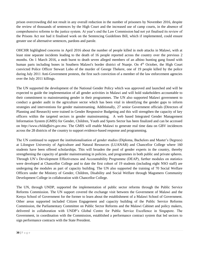prison overcrowding did not result in any overall reduction in the number of prisoners by November 2016, despite the review of thousands of sentences by the High Court and the increased use of camp courts, in the absence of comprehensive reforms to the justice system. At year's end the Law Commission had not yet finalised its review of the Prisons Act nor had it finalised work on the Sentencing Guidelines Bill, which if implemented, could ensure greater use of alternative sentences, pardons and parole.

OHCHR highlighted concerns in April 2016 about the number of people killed in mob attacks in Malawi, with at least nine separate incidents leading to the death of 16 people reported across the country over the previous 2 months. On 1 March 2016, a mob burnt to death seven alleged members of an albino hunting gang found with human parts including bones in Southern Malawi's border district of Nsanje. On 4<sup>th</sup> October, the High Court convicted Police Officer Stewart Lobo of the murder of George Thekere, one of 19 people killed by the police during July 2011 Anti-Government protests, the first such conviction of a member of the law enforcement agencies over the July 2011 killings.

The UN supported the development of the National Gender Policy which was approved and launched and will be expected to guide the implementation of all gender activities in Malawi and will hold stakeholders accountable to their commitment to mainstreaming gender in their programmes. The UN also supported Malawi government to conduct a gender audit in the agriculture sector which has been vital in identifying the gender gaps to inform strategies and interventions for gender mainstreaming. Additionally, 27 senior Government officials (Directors of Planning and Research) were trained in Gender Responsive Budgeting and this will strengthen the capacity of key officers within the targeted sectors in gender mainstreaming. A web based Integrated Gender Management Information System (GMIS) for Gender, Children, Youth and Sports Sector has been finalized and can be accessed on *http://www.childaffairs.gov.mw*. The GMIS will enable Malawi to generate real time data on GBV incidences across the 28 districts of the country to support evidence-based response and programming.

The UN continued to support the institutionalisation of gender studies (Diploma, Bachelors and Master's Degrees) at Lilongwe University of Agriculture and Natural Resources (LUANAR) and Chancellor College where 160 students have been offered scholarships. This will broaden the pool of gender experts in the country, thereby strengthening the capacity of gender mainstreaming in policies, and programmes in both public and private spheres. Through UN's Development Effectiveness and Accountability Programme (DEAP), further modules on statistics were developed at Chancellor College and to date the first cohort of 19 students (including eight NSO staff) are undergoing the modules as part of capacity building. The UN also supported the training of 70 Social Welfare Officers under the Ministry of Gender, Children, Disability and Social Welfare through Magomero Community Development College in collaboration with Chancellor College.

The UN, through UNDP, supported the implementation of public sector reforms through the Public Service Reforms Commission. The UN support covered the exchange visit between the Government of Malawi and the Kenya School of Government for the former to learn about the establishment of a Malawi School of Government. Other areas supported included Citizen Engagement and capacity building of the Public Service Reforms Commission, the Parliamentary Committee on Public Sector Reforms and the Malawi Cabinet and policy makers, delivered in collaboration with UNDP's Global Centre for Public Service Excellence in Singapore. The Government, in coordination with the Commission, established a performance contract system that led sectors to sign performance contracts with the State President.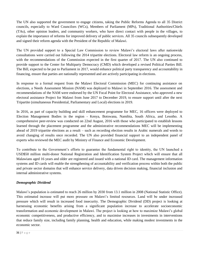The UN also supported the government to engage citizens, taking the Public Reforms Agenda to all 35 District councils, especially to Ward Councilors (WCs), Members of Parliament (MPs), Traditional Authorities/Chiefs (TAs), other opinion leaders, and community workers, who have direct contact with people in the villages, to explain the importance of reforms for improved delivery of public services. All 35 councils subsequently developed and signed their reform agenda with the President of the Republic of Malawi.

The UN provided support to a Special Law Commission to review Malawi's electoral laws after nationwide consultations were carried out following the 2014 tripartite elections. Electoral law reform is an ongoing process, with the recommendations of the Commission expected in the first quarter of 2017. The UN also continued to provide support to the Center for Multiparty Democracy (CMD) which developed a revised Political Parties Bill. The Bill, expected to be put to Parliament in 2017, would enhance political party transparency and accountability in financing, ensure that parties are nationally represented and are actively participating in elections.

In response to a formal request from the Malawi Electoral Commission (MEC) for continuing assistance on elections, a Needs Assessment Mission (NAM) was deployed to Malawi in September 2016. The assessment and recommendations of the NAM were endorsed by the UN Focal Point for Electoral Assistance, who approved a new electoral assistance Project for Malawi from June 2017 to December 2019, to ensure support until after the next Tripartite (simultaneous Presidential, Parliamentary and Local) elections in 2019.

In 2016, as part of capacity building and skill enhancement programme for MEC, 16 officers were deployed to Election Management Bodies in the region - Kenya, Botswana, Namibia, South Africa, and Lesotho. A comprehensive peer-review was conducted on 22nd August, 2016 with those who participated to establish lessons learned through the placement programme and the administrative recommendations MEC will be implementing ahead of 2019 tripartite elections as a result – such as recording election results in Arabic numerals and words to avoid changing of results once recorded. The UN also provided financial support to an independent panel of experts who reviewed the MEC audit by Ministry of Finance and Economic Development.

To contribute to the Government's efforts to guarantee the fundamental right to identity, the UN launched a USD\$50 million multi-donor National Registration and Identification System Project which will ensure that all Malawians aged 16 years and older are registered and issued with a national ID card. The management information systems and ID cards will enable the strengthening of accountability and verification process within both the public and private sector domains that will enhance service delivery, data driven decision making, financial inclusion and internal administrative systems.

#### *Demographic Dividend*

Malawi's population is estimated to reach 26 million by 2030 from 13.1 million in 2008 (National Statistic Office). This estimated increase will put more pressure on Malawi's limited resources. Land will be under increased pressure which will result in increased food insecurity. The Demographic Dividend (DD) project is looking at harnessing economic benefits arising from a significant population increase to accelerate socioeconomic transformation and economic development in Malawi. The project is looking at how to maximize Malawi's global economic competitiveness, and productive efficiency, and to maximise increases in investments in interventions that reduce family size, including family planning, health and education, while making modest investments in the economic sector.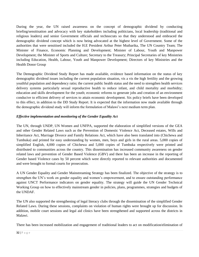During the year, the UN raised awareness on the concept of demographic dividend by conducting briefing/sensitisation and advocacy with key stakeholders including politicians, local leadership (traditional and religious leaders) and senior Government officials and technocrats so that they understood and embraced the demographic dividend concept which is now being advocated at the highest level of Government. Some of the authorities that were sensitised included the H.E President Arthur Peter Mutharika, The UN Country Team; The Minister of Finance, Economic Planning and Development; Minister of Labour, Youth and Manpower Development; the Minister of Sports and Culture; Secretary to the Treasury; Principal Secretaries of key Ministries including Education, Health, Labour, Youth and Manpower Development; Directors of key Ministries and the Health Donor Group

The Demographic Dividend Study Report has made available, evidence based information on the status of key demographic dividend issues including the current population situation, vis a vis the high fertility and the growing youthful population and dependency ratio; the current public health status and the need to strengthen health services delivery systems particularly sexual reproductive health to reduce infant, and child mortality and morbidity; education and skills development for the youth; economic reforms to generate jobs and creation of an environment conducive to efficient delivery of services to attain economic development. Six policy briefs have been developed to this effect, in addition to the DD Study Report. It is expected that the information now made available through the demographic dividend study will inform the formulation of Malawi's next medium term plan.

#### *Effective implementation and monitoring of the Gender Equality Act*

The UN, through UNDP, UN Women and UNFPA, supported the elaboration of simplified versions of the GEA and other Gender Related Laws such as the Prevention of Domestic Violence Act, Deceased estates, Wills and Inheritance Act, Marriage Divorce and Family Relations Act, which have also been translated into (Chichewa and Tumbuka) and printed for easy understanding by women, men, boys and girls in the rural areas. 5,000 copies of simplified English, 4,000 copies of Chichewa and 5,000 copies of Tumbuka respectively were printed and distributed to communities across the country. This dissemination has increased community awareness on gender related laws and prevention of Gender Based Violence (GBV) and there has been an increase in the reporting of Gender based Violence cases by 50 percent which were directly reported to relevant authorities and documented and were brought to formal courts for prosecution.

A UN Gender Equality and Gender Mainstreaming Strategy has been finalized. The objective of the strategy is to strengthen the UN's work on gender equality and women's empowerment, and to ensure outstanding performance against UNCT Performance indicators on gender equality. The strategy will guide the UN Gender Technical Working Group on how to effectively mainstream gender in policies, plans, programmes, strategies and budgets of the UNDAF.

The UN also supported the strengthening of legal literacy clubs through the dissemination of the simplified Gender Related Laws. During these sessions, complaints on violation of human rights were brought up for discussion. In addition, mobile court sessions and legal aid clinics have been strengthened and supported across the districts in Malawi.

There has been increased mobilization and engagement of traditional leaders to act on modification/elimination of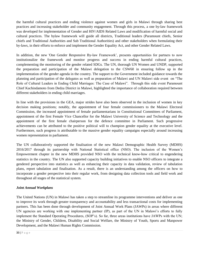the harmful cultural practices and ending violence against women and girls in Malawi through sharing best practices and increasing stakeholder and community engagement. Through this process, a one by-law framework was developed for implementation of Gender and HIV/AIDS Related Laws and modification of harmful social and cultural practices. The bylaw framework will guide all districts, Traditional leaders (Paramount chiefs, Senior chiefs and Traditional Authorities and Sub Traditional Authorities) and other stakeholders when formulating their by-laws, in their efforts to enforce and implement the Gender Equality Act, and other Gender Related Laws.

In addition, the new 'One Gender Responsive By-law Framework', presents opportunities for partners to now institutionalize the framework and monitor progress and success in ending harmful cultural practices, complementing the monitoring of the gender related SDGs. The UN, thorough UN Women and UNDP, supported the preparation and participation of the Malawi delegation to the CSW60 in ensuring follow up in the implementation of the gender agenda in the country. The support to the Government included guidance towards the planning and participation of the delegates as well as preparation of Malawi and UN Malawi side event on "The Role of Cultural Leaders in Ending Child Marriages: The Case of Malawi". Through this side event Paramount Chief Kachindamoto from Dedza District in Malawi, highlighted the importance of collaboration required between different stakeholders in ending child marriages.

In line with the provisions in the GEA, major strides have also been observed in the inclusion of women in key decision making positions; notably, the appointment of four female commissioners to the Malawi Electoral Commission, the increased appointment of female parliamentarians in Constitutional Committees of Parliament, appointment of the first Female Vice Chancellor for the Malawi University of Science and Technology and the appointment of the first female chairperson for the defence committee in Parliament. Such progressive achievements can be attributed to the positive political will to champion gender equality at the executive level. Furthermore, such progress is attributable to the massive gender equality campaigns especially around increasing women representation in parliament.

The UN collaboratively supported the finalisation of the new Malawi Demographic Health Survey (MDHS) 2016/2017 through its partnership with National Statistical office (NSO). The inclusion of the Women's Empowerment chapter in the new MDHS provided NSO with the technical know-how critical to engendering statistics in the country. The UN also supported capacity building initiatives to enable NSO officers to integrate a gendered perspective into statistics as well as enhancing their capacity in data validation, review of tabulation plans, report tabulation and finalisation. As a result, there is an understanding among the officers on how to incorporate a gender perspective into their regular work, from designing data collection tools and field work and throughout all stages of the statistical system.

#### *Joint Annual Workplans*

The United Nations (UN) in Malawi has taken a step to streamline its programme interventions and deliver as one to improve its work through greater transparency and accountability and less transactional costs for implementing partners. This has been done through development of Joint Annual Work Plans (JAWPs) in areas where different UN agencies are working with one implementing partner (IP), as part of the UN in Malawi's efforts to fully implement the Standard Operating Procedures, (SOP's). So far, three areas institutions have JAWPs with the UN; the Ministry of Gender, Children, Disability and Social Welfare, the Ministry of Youth, Sports and Manpower Development, and the Malawi Human Rights Commission.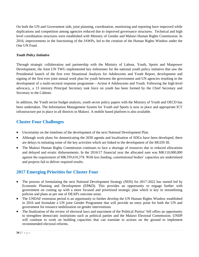On both the UN and Government side, joint planning, coordination, monitoring and reporting have improved while duplications and competition among agencies reduced due to improved governance structures. Technical and high level coordination structures were established with Ministry of Gender and Malawi Human Rights Commission. In 2016, improvements in the functioning of the JAWPs, led to the creation of the Human Rights Window under the One UN Fund.

#### *Youth Policy Initiative*

Through strategic collaboration and partnership with the Ministry of Labour, Youth, Sports and Manpower Development, the Joint UN TWG implemented key milestones for the national youth policy initiative that saw the Presidential launch of the first ever Situational Analysis for Adolescents and Youth Report, development and signing of the first ever joint annual work plan for youth between the government and UN agencies resulting in the development of a multi-sectoral response programme—Action 4 Adolescents and Youth. Following the high-level advocacy, a 13 ministry Principal Secretary task force on youth has been formed by the Chief Secretary and Secretary to the Cabinet.

In addition, the Youth sector budget analysis, youth sector policy papers with the Ministry of Youth and OECD has been undertaken. The Information Management System for Youth and Sports is now in place and appropriate ICT infrastructure put in place in all districts in Malawi. A mobile based platform is also available.

# **Cluster Four Challenges**

- Uncertainty on the timelines of the development of the next National Development Plan.
- Although work plans for domesticating the 2030 agenda and localisation of SDGs have been developed, there are delays in initiating some of the key activities which are linked to the development of the MGDS III.
- The Malawi Human Rights Commission continues to face a shortage of resources due to reduced allocations and delayed and erratic disbursements. In the 2016/17 financial year the allocated sum was MK110,000,000 against the requirement of MK359,610,378. With less funding, constitutional bodies' capacities are undermined and projects fail to deliver required results.

# **2017 Emerging Priorities for Cluster Four**

- The process of formulating the next National Development Strategy (NDS) for 2017-2022 has started led by Economic Planning and Development (EP&D). This provides an opportunity to engage further with government on coming up with a more focused and prioritized strategic plan which is key in streamlining policies and plans as per one of DEAP's outcome areas.
- The UNDAF extension period is an opportunity to further develop the UN Human Rights Window established in 2016 and formulate a UN joint Gender Programme that will provide an entry point for both the UN and government for resource mobilization on gender interventions
- The finalization of the review of electoral laws and enactment of the Political Parties' bill offers an opportunity to strengthen democratic institutions such as political parties and the Malawi Electoral Commission. UNDP will continue to work on building capacities that can translate to actions on the ground to implement recommended electoral reforms.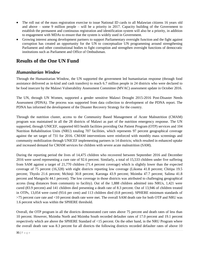- The roll out of the mass registration exercise to issue National ID cards to all Malawian citizens 16 years old and above – some 9 million people – will be a priority in 2017. Capacity building of the Government to establish the permanent and continuous registration and identification system will also be a priority, in addition to engagement with MDAs to ensure that the system is widely used in Government.
- Growing interest among development partners to support Parliamentary oversight function and the fight against corruption has created an opportunity for the UN to conceptualize UN programming around strengthening Parliament and other constitutional bodies to fight corruption and strengthen oversight functions of democratic institutions such as Parliament and Office of Ombudsman.

# <span id="page-34-0"></span>**Results of the One UN Fund**

## <span id="page-34-1"></span>*Humanitarian Window*

Through the Humanitarian Window, the UN supported the government led humanitarian response (through food assistance delivered as in-kind and cash transfers) to reach 6.7 million people in 24 districts who were declared to be food insecure by the Malawi Vulnerability Assessment Committee (MVAC) assessment update in October 2016.

The UN, through UN Women, supported a gender sensitive Malawi Drought 2015-2016 Post-Disaster Needs Assessment (PDNA). The process was supported from data collection to development of the PDNA report. The PDNA has informed the development of the Disaster Recovery Strategy for the country.

Through the nutrition cluster, access to the Community Based Management of Acute Malnutrition (CMAM) program was maintained in all the 28 districts of Malawi as part of the nutrition emergency response. The UN supported, through UNICEF, supported 603 health facilities providing Out Patient Program (OTP) services and 104 Nutrition Rehabilitation Units (NRU) totaling 707 facilities, which represents 97 percent geographical coverage against the set target of 731 for 2016. CMAM interventions were reinforced with monthly mass screenings and community mobilization through UNICEF implementing partners in 14 districts; which resulted in enhanced uptake and increased demand for CMAM services for children with severe acute malnutrition (SAM).

During the reporting period the lives of 14,475 children who recovered between September 2016 and December 2016 were saved representing a cure rate of 92.6 percent. Similarly, a total of 15,533 children under five suffering from SAM against a target of 21,770 children (71.4 percent coverage) which is slightly lower than the expected coverage of 75 percent (16,328) with eight districts reporting low coverage (Likoma 41.8 percent; Chitipa 19.5 percent; Thyolo 21.6 percent; Mchinji 30.8 percent; Karonga 43.9 percent; Mzimba 47.7 percent; Salima 41.8 percent and Mangochi 44.1 percent). The low coverage in those districts was attributed to challenging geographical access (long distances from community to facility). Out of the 1,888 children admitted into NRUs, 1,421 were cured (83.9 percent) and 141 children died presenting a death rate of 8.3 percent. Out of 13,946 of children treated in OTPs, 13,054 were cured (93.6 per cent) and 113 children died (0.8 percent). SPHERE minimum standards of >75 percent cure rate and <10 percent death rate were met. The overall SAM death rate for both OTP and NRU was 1.6 percent which was within the SPHERE threshold.

Overall, the OTP program in all the districts demonstrated cure rates above 75 percent and death rates of less than 10 percent. However, Mzimba North and Mzimba South recorded defaulter rates of 17.0 percent and 19.1 percent respectively which are above the SPHERE Standard of <15 percent. On the other hand, in the NRU Program where the overall death rate was 8.3 percent for all districts the following districts recorded defaulter rates of above 10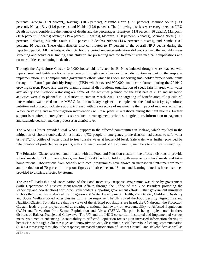percent: Karonga (10.9 percent), Kasungu (10.3 percent), Mzimba North (17.0 percent), Mzimba South (19.1 percent), Nkhata Bay (11.6 percent), and Ntchisi (12.0 percent). The following districts were categorized as NRU Death hotspots considering the number of deaths and the percentages: Blantyre (11.8 percent; 16 deaths), Mangochi (10.6 percent; 9 deaths) Mulanje (19.4 percent; 6 deaths), Mwanza (15.8 percent; 6 deaths), Mzimba North (10.0 percent; 5 deaths), Mzimba South (17.5 percent; 7 deaths) Ntcheu (14.6 percent; 7 deaths), and Zomba (10.9 percent; 10 deaths). These eight districts also contributed to 47 percent of the overall NRU deaths during the reporting period. All the hotspot districts for the period under-consideration did not conduct the monthly mass screening and active case finding, thus children are presenting late for treatment with medical complications and co-morbidities contributing to deaths.

Through the Agriculture Cluster, 240,000 households affected by El Nino-induced drought were reached with inputs (seed and fertilizer) for rain-fed season through seeds fairs or direct distribution as part of the response implementation. This complimented government efforts which has been supporting smallholder farmers with inputs through the Farm Input Subsidy Program (FISP) which covered 900,000 small-scale farmers during the 2016/17 growing season. Potato and cassava planting material distributions, organization of seeds fairs in areas with water availability and livestock restocking are some of the activities planned for the first half of 2017 and irrigation activities were also planned in 11 districts to start in March 2017. The targeting of beneficiaries of agricultural interventions was based on the MVAC food beneficiary register to complement the food security, agriculture, nutrition and protection clusters at district level, with the objective of maximizing the impact of recovery activities. Water harvesting and micro-irrigation interventions will take place in 4 districts during the next months. Further support is required to strengthen disaster reduction management activities in agriculture, information management and strategic decision making processes at district level.

The WASH Cluster provided vital WASH support in the affected communities in Malawi, which resulted in the mitigation of cholera outbreak. An estimated 4,732 people in emergency prone districts had access to safe water using 17,746 bottles of water guard to treat unsafe water at household level. Safe water was further provided by rehabilitation of protected water points, with vital involvement of the community members to ensure sustainability.

The Education Cluster worked hand in hand with the Food and Nutrition cluster in the affected districts to provide school meals in 121 primary schools, reaching 172,400 school children with emergency school meals and takehome rations. Observations from schools with meal programmes have shown an increase in first-time enrolment and a reduction of 70 percent in drop-out figures and absenteeism. 18 tents and learning materials have also been provided to districts affected by storms.

The overall leadership and coordination of the Food Insecurity Response Programme was done by government (with Department of Disaster Management Affairs through the Office of the Vice President providing the leadership and coordination) with other stakeholders supporting government efforts. Other government ministries such as the ministries of Agriculture, Irrigation and Water Development; Health; and Gender, Children, Disability and Social Welfare co-led other clusters during the response. The UN co-led the Food Security, Agriculture and Nutrition Cluster. To make sure that the views of the affected populations are heard, the UN through the Protection Cluster, leads a pilot project aimed at creating a national framework on Accountability to Affected Populations (AAP) and Prevention from Sexual Exploitation and Abuse (PSEA). The pilot is being implemented in three districts of Balaka, Nsanje and Chikwawa. The UN and the INGO consortium instituted and implemented various measures aimed at enhancing Accountability to Affected Population focusing on increased information sharing to beneficiaries through radio messages and innovative ways to disseminate social behavioural change communication (SBCC) messaging throughout the response; increased participation of District Council and stakeholders as well as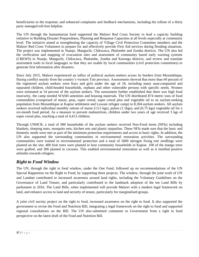beneficiaries in the response; and enhanced complaints and feedback mechanisms, including the rollout of a thirty party managed toll-free helpline.

The UN through the humanitarian fund supported the Malawi Red Cross Society to lead a capacity building initiative in Building Disaster Preparedness, Planning and Response Capacities at all levels especially at community level. The initiative aimed at strengthening the capacity of Village Civil Protection Committee members and the Malawi Red Cross Volunteers to prepare for and effectively provide First Aid services during flooding situations. The project was implemented in Nsanje, Mangochi, Chikwawa, Phalombe and Zomba districts. The UN also led the verification and mapping of evacuation sites and assessment of community based early warning systems (CBEWS) in Nsanje, Mangochi, Chikwawa, Phalombe, Zomba and Karonga districts, and review and translate assessment tools in local languages so that they are usable by local communities (civil protection committees) to generate first information after disasters.

Since July 2015, Malawi experienced an influx of political asylum seekers across its borders from Mozambique, fleeing conflict mainly from the country's western Tete province. Assessments showed that more than 60 percent of the registered asylum seekers were boys and girls under the age of 18, including many unaccompanied and separated children, child-headed households, orphans and other vulnerable persons with specific needs. Women were estimated at 54 percent of the asylum seekers. The assessment further established that there was high food insecurity, the camp needed WASH amenities and housing materials. The UN distributed 874 metric tons of food commodities (comprised of maize, peas, super cereal, super cereal plus and vegetable oil to an asylum-seeking population from Mozambique at Kapise settlement and Luwani refugee camp) to 8,304 asylum seekers. All asylum seekers received individual monthly rations of maize (13.5 kgs), pulses (1.5kgs), and (0.75 kgs) vegetable oil for a six-month food period. As a measure to prevent malnutrition, children under two years of age received 3 kgs of super cereal plus, reaching a total of 4,413 children.

Through UNHCR, a total of 900 households of the asylum seekers received Non-Food items (NFIs) including blankets, sleeping mats, mosquito nets, kitchen sets and plastic tarpaulins. These NFIs made sure that the basic and domestic needs were met as part of the minimum protection requirements and access to basic rights. In addition, the UN also supported the surrounding communities in environmental restoration activities. The surrounding communities were trained in environmental protection and a total of 5000 nitrogen fixing tree seedlings were planted on the site; 400 fruit trees were planted in host community households in Kapise. 100 of the mango trees were grafted, and 300 planted in cocoons. This enabled environmental restoration as well as it instilled positive attitudes towards refugees.

## <span id="page-36-0"></span>*Right to Food Window*

The UN, through the right to food window, under the One Fund, followed up on recommendations of the UN Special Rapporteur on the Right to Food, by supporting three projects. The window, through the joint work of UN and Landnet contributed to increased awareness around land rights, including the Voluntary Guidelines on the Governance of Land Tenure, and particularly contributed to the landmark adoption of the ten Land Bills by parliament in 2016. The Land Bills, when implemented will provide Malawi with a modern legal framework on land, and enhance access to land and security of tenure, particularly for marginalised groups.

A joint civil society project on the right to food, increased awareness on the right to food. It also supported the government to revise the Food and Nutrition Bill, integrating a legal framework on the right to food and supported regional consultations on the Bill. The UN also submitted comments to Government from a right to food perspective on the latest draft of the Food and Nutrition Bill.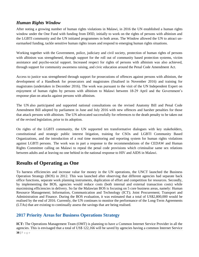# <span id="page-37-0"></span>*Human Rights Window*

After noting a growing number of human rights violations in Malawi, in 2016 the UN established a human rights window under the One Fund with funding from DfID, initially to work on the rights of persons with albinism and the LGBTI community and the UN initiated programmes in both areas. The Window allowed the UN to attract unearmarked funding, tackle sensitive human rights issues and respond to emerging human rights situations.

Working together with the Government, police, judiciary and civil society, protection of human rights of persons with albinism was strengthened, through support for the roll out of community based protection systems, victim assistance and psycho-social support. Increased respect for rights of persons with albinism was also achieved, through support for community awareness raising, and civic education around the Penal Code Amendment Act.

Access to justice was strengthened through support for prosecutions of offences against persons with albinism, the development of a Handbook for prosecutors and magistrates (finalised in November 2016) and training for magistrates (undertaken in December 2016). The work was pursuant to the visit of the UN Independent Expert on enjoyment of human rights by persons with albinism to Malawi between 18-29 April and the Government's response plan on attacks against persons with albinism.

The UN also participated and supported national consultations on the revised Anatomy Bill and Penal Code Amendment Bill adopted by parliament in June and July 2016 with new offences and harsher penalties for those that attack persons with albinism. The UN advocated successfully for references to the death penalty to be taken out of the revised legislation, prior to its adoption.

On rights of the LGBTI community, the UN supported ten transformative dialogues with key stakeholders, constitutional and strategic public interest litigation, training for CSOs and LGBTI Community Based Organizations, and the introduction of a real time monitoring and reporting system for human rights violations against LGBTI persons. The work was in part a response to the recommendations of the CEDAW and Human Rights Committee calling on Malawi to repeal the penal code provisions which criminalise same sex relations between adults and at leaving no one behind in the national response to HIV and AIDS in Malawi.

# <span id="page-37-1"></span>**Results of Operating as One**

To harness efficiencies and increase value for money in the UN operations, the UNCT launched the Business Operation Strategy (BOS) in 2012. This was launched after observing that different agencies had separate back office functions, separate work planning instruments, duplication of effort and competition for resources. Secondly, by implementing the BOS, agencies would reduce costs (both internal and external transaction costs) while maximising efficiencies in delivery. So far the Malawian BOS is focusing on 5 core business areas, namely: Human Resource Management; Information, Communication and Technology (ICT); Joint Procurement; Transport and Administration and Finance. During the BOS evaluation, it was estimated that a total of US\$2,800,000 would be realised by the end of 2016. Currently, the UN continues to monitor the performance of the Long-Term Agreements (LTAs) that are existing to continually assess the savings that are being realised.

# **2017 Priority Areas for Business Operations Strategy**

**38 |** P a g e **ICT:** The Operations Management Team (OMT) is planning to have a Common Internet Service Provider in all the agencies. This is envisaged that a total of US\$ 122,166 will be saved by agencies having a common Internet Service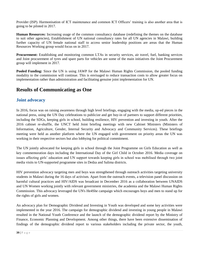Provider (ISP). Harmonisation of ICT maintenance and common ICT Officers' training is also another area that is going to be piloted in 2017.

**Human Resources:** Increasing usage of the common consultancy database (redefining the themes on the database to suit other agencies), Establishment of UN national consultancy rates for all UN agencies in Malawi, building further capacity of UN female national staff to access senior leadership positions are areas that the Human Resources Working group would focus on in 2017.

**Procurement:** Establishing and monitoring common LTAs in security services, air travel, fuel, banking services and Joint procurement of tyres and spare parts for vehicles are some of the main initiatives the Joint Procurement group will implement in 2017.

**Pooled Funding:** Since the UN is using JAWP for the Malawi Human Rights Commission, the pooled funding modality to the commission will continue. This is envisaged to reduce transaction costs to allow greater focus on implementation rather than administration and facilitating genuine joint implementation for UN.

# <span id="page-38-0"></span>**Results of Communicating as One**

## **Joint advocacy**

In 2016, focus was on raising awareness through high level briefings, engaging with the media, op-ed pieces in the national press, using the UN Day celebrations to publicize and get buy-in of partners to support different priorities, including the SDGs, keeping girls in school, building resilience, HIV prevention and investing in youth. After the 2016 cabinet re-shuffle, the UNCT held Joint briefing meetings with new Cabinet Ministers (Ministers of Information, Agriculture, Gender, Internal Security and Advocacy and Community Services). These briefings meeting were held as another platform where the UN engaged with government on priority areas the UN was working in their respective sectors but also lobbying for political commitment.

The UN jointly advocated for keeping girls in school through the Joint Programme on Girls Education as well as key commemoration days including the International Day of the Girl Child in October 2016. Media coverage on issues affecting girls' education and UN support towards keeping girls in school was mobilised through two joint media visits to UN-supported programme sites in Dedza and Salima districts.

HIV prevention advocacy targeting men and boys was strengthened through outreach activities targeting university students in Malawi during the 16 days of activism. Apart from the outreach events, a television panel discussion on harmful cultural practices and HIV/AIDS was broadcast in December 2016 as a collaboration between UNAIDS and UN Women working jointly with relevant government ministries, the academia and the Malawi Human Rights Commission. This advocacy leveraged the UN's He4She campaign which encourages boys and men to stand up for the rights of girls and women.

An advocacy plan for Demographic Dividend and Investing in Youth was developed and some key activities were implemented in the year 2016. The campaign for demographic dividend and investing in young people in Malawi resulted in the National Youth Conference and the launch of the demographic dividend report by the Ministry of Finance, Economic Planning and Development. Among other things, there have been extensive dissemination of findings of the demographic dividend report to various stakeholders including the private sector, the youth,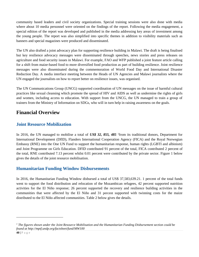community based leaders and civil society organizations. Special training sessions were also done with media where about 10 media personnel were oriented on the findings of the report. Following the media engagement, a special edition of the report was developed and published in the media addressing key areas of investment among the young people. The report was also simplified into specific themes in addition to visibility materials such as banners and special magazines were produced and disseminated.

The UN also drafted a joint advocacy plan for supporting resilience building in Malawi. The draft is being finalised but key resilience advocacy messages were disseminated through speeches, news stories and press releases on agriculture and food security issues in Malawi. For example, FAO and WFP published a joint feature article calling for a shift from maize-based food to more diversified food production as part of building resilience. Joint resilience messages were also disseminated during the commemoration of World Food Day and International Disaster Reduction Day. A media interface meeting between the Heads of UN Agencies and Malawi journalists where the UN engaged the journalists on how to report better on resilience issues, was organised.

The UN Communications Group (UNCG) supported coordination of UN messages on the issue of harmful cultural practices like sexual cleansing which promote the spread of HIV and AIDS as well as undermine the rights of girls and women, including access to education. With support from the UNCG, the UN managed to train a group of trainers from the Ministry of Information on SDGs, who will in turn help in raising awareness on the goals.

# <span id="page-39-0"></span>**Financial Overview**

## **Joint Resource Mobilization**

In 2016, the UN managed to mobilise a total of *US\$ 32, 855, 485* <sup>1</sup> from its traditional donors, Department for International Development (DfID), Flanders International Cooperation Agency (FICA) and the Royal Norwegian Embassy (RNE) into the One UN Fund to support the humanitarian response, human rights (LGBTI and albinism) and Joint Programme on Girls Education. DFID contributed 91 percent of the total, FICA contributed 2 percent of the total, RNE contributed 7.13 percent whilst 0.01 percent were contributed by the private sector. Figure 1 below gives the details of the joint resource mobilisation.

## **Humanitarian Funding Window Disbursements**

In 2016, the Humanitarian Funding Window disbursed a total of US\$ 37,583,639.21. 1 percent of the total funds went to support the food distribution and relocation of the Mozambican refugees, 42 percent supported nutrition activities for the El Niño response; 26 percent supported the recovery and resilience building activities in the communities that were affected by the El Niño and 31 percent supported with twinning costs for the maize distributed to the El Niño affected communities. Table 2 below gives the details.

 $\overline{a}$ 

*<sup>1</sup> The figures shown under the Joint Resource Mobilisation and the Humanitarian Funding Disbursement section could be found at http://mptf.undp.org/factsheet/fund/MW100*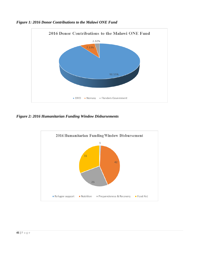

<span id="page-40-0"></span>*Figure 1: 2016 Donor Contributions to the Malawi ONE Fund*

<span id="page-40-1"></span>*Figure 2: 2016 Humanitarian Funding Window Disbursements*

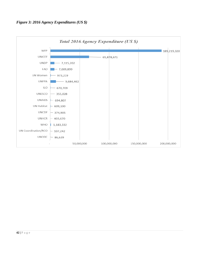<span id="page-41-0"></span>

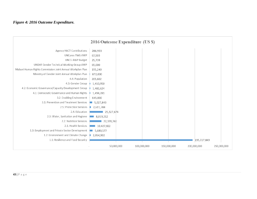#### *Figure 4: 2016 Outcome Expenditure.*

<span id="page-42-0"></span>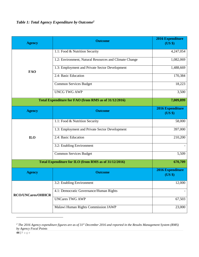<span id="page-43-0"></span>*Table 1: Total Agency Expenditure by Outcome<sup>2</sup>*

| <b>Agency</b>                                                    | <b>Outcome</b>                                         | 2016 Expenditure<br>(US \$) |
|------------------------------------------------------------------|--------------------------------------------------------|-----------------------------|
|                                                                  | 1.1: Food & Nutrition Security                         | 4,247,054                   |
|                                                                  | 1.2: Environment, Natural Resources and Climate Change | 1,082,069                   |
| <b>FAO</b>                                                       | 1.3: Employment and Private Sector Development         | 1,488,669                   |
|                                                                  | 2.4: Basic Education                                   | 170,384                     |
|                                                                  | <b>Common Services Budget</b>                          | 18,223                      |
|                                                                  | <b>UNCG TWG AWP</b>                                    | 3,500                       |
|                                                                  | Total Expenditure for FAO (from RMS as of 31/12/2016)  | 7,009,899                   |
| <b>Agency</b>                                                    | <b>Outcome</b>                                         | 2016 Expenditure<br>(US \$) |
|                                                                  | 1.1: Food & Nutrition Security                         | 58,000                      |
| ILO                                                              | 1.3: Employment and Private Sector Development         | 397,000                     |
|                                                                  | 2.4: Basic Education                                   | 210,200                     |
|                                                                  | 3.2: Enabling Environment                              |                             |
|                                                                  | <b>Common Services Budget</b>                          | 5,509                       |
| Total Expenditure for ILO (from RMS as of 31/12/2016)<br>670,709 |                                                        |                             |
| <b>Agency</b>                                                    | <b>Outcome</b>                                         | 2016 Expenditure<br>(US \$) |
|                                                                  | 3.2: Enabling Environment                              | 12,000                      |
| <b>RCO/UNCares/OHHCR</b>                                         | 4.1: Democratic Governance/Human Rights                |                             |
|                                                                  | <b>UNCares TWG AWP</b>                                 | 67,503                      |
|                                                                  | Malawi Human Rights Commission JAWP                    | 23,000                      |

*<sup>2</sup> The 2016 Agency expenditure figures are as of 31st December 2016 and reported in the Results Management System (RMS) by Agency Focal Points*

 $\overline{a}$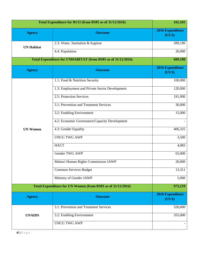| Total Expenditure for RCO (from RMS as of 31/12/2016)       |                                                            | 102,503                            |
|-------------------------------------------------------------|------------------------------------------------------------|------------------------------------|
| <b>Agency</b>                                               | <b>Outcome</b>                                             | 2016 Expenditure<br>(US \$)        |
| <b>UN Habitat</b>                                           | 2.3: Water, Sanitation & hygiene                           | 589,100                            |
|                                                             | 4.4: Population                                            | 20,000                             |
| Total Expenditure for UNHABITAT (from RMS as of 31/12/2016) |                                                            | 609,100                            |
| <b>Agency</b>                                               | <b>Outcome</b>                                             | <b>2016 Expenditure</b><br>(US \$) |
|                                                             | 1.1: Food & Nutrition Security                             | 100,000                            |
|                                                             | 1.3: Employment and Private Sector Development             | 120,000                            |
|                                                             | 2.5: Protection Services                                   | 191,000                            |
|                                                             | 3.1: Prevention and Treatment Services                     | 30,000                             |
| <b>UN Women</b>                                             | 3.2: Enabling Environment                                  | 15,000                             |
|                                                             | 4.2: Economic Governance/Capacity Development              |                                    |
|                                                             | $\overline{4.3}$ : Gender Equality                         | 406,325                            |
|                                                             | <b>UNCG TWG AWP</b>                                        | 3,500                              |
|                                                             | <b>HACT</b>                                                | 4,083                              |
|                                                             | Gender TWG AWP                                             | 65,000                             |
|                                                             | Malawi Human Rights Commission JAWP                        | 20,000                             |
|                                                             | <b>Common Services Budget</b>                              | 13,311                             |
|                                                             | Ministry of Gender JAWP                                    | 5,000                              |
|                                                             | Total Expenditure for UN Women (from RMS as of 31/12/2016) | 973,219                            |
| <b>Agency</b>                                               | <b>Outcome</b>                                             | 2016 Expenditure<br>(US \$)        |
|                                                             | 3.1: Prevention and Treatment Services                     | 326,000                            |
| <b>UNAIDS</b>                                               | 3.2: Enabling Environment                                  | 355,000                            |
|                                                             | <b>UNCG TWG AWP</b>                                        |                                    |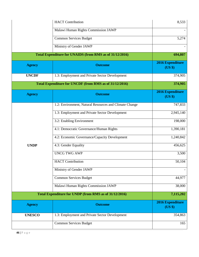|               | <b>HACT</b> Contribution                                 | 8,533                              |
|---------------|----------------------------------------------------------|------------------------------------|
|               | Malawi Human Rights Commission JAWP                      |                                    |
|               | <b>Common Services Budget</b>                            | 5,274                              |
|               | Ministry of Gender JAWP                                  |                                    |
|               | Total Expenditure for UNAIDS (from RMS as of 31/12/2016) | 694,807                            |
| <b>Agency</b> | <b>Outcome</b>                                           | 2016 Expenditure<br>(US \$)        |
| <b>UNCDF</b>  | 1.3: Employment and Private Sector Development           | 374,905                            |
|               | Total Expenditure for UNCDF (from RMS as of 31/12/2016)  | 374,905                            |
| <b>Agency</b> | <b>Outcome</b>                                           | 2016 Expenditure<br>(US \$)        |
|               | 1.2: Environment, Natural Resources and Climate Change   | 747,833                            |
|               | 1.3: Employment and Private Sector Development           | 2,945,140                          |
|               | 3.2: Enabling Environment                                | 198,000                            |
|               | 4.1: Democratic Governance/Human Rights                  | 1,390,181                          |
|               | 4.2: Economic Governance/Capacity Development            | 1,240,842                          |
| <b>UNDP</b>   | 4.3: Gender Equality                                     | 456,625                            |
|               | <b>UNCG TWG AWP</b>                                      | 3,500                              |
|               | <b>HACT</b> Contribution                                 | 50,104                             |
|               | Ministry of Gender JAWP                                  |                                    |
|               | <b>Common Services Budget</b>                            | 44,977                             |
|               | Malawi Human Rights Commission JAWP                      | 38,000                             |
|               | Total Expenditure for UNDP (from RMS as of 31/12/2016)   | 7,115,202                          |
| <b>Agency</b> | <b>Outcome</b>                                           | <b>2016 Expenditure</b><br>(US \$) |
| <b>UNESCO</b> | 1.3: Employment and Private Sector Development           | 354,863                            |
|               | <b>Common Services Budget</b>                            | 165                                |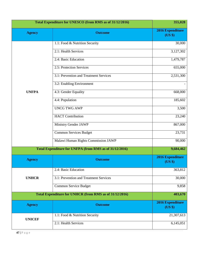| Total Expenditure for UNESCO (from RMS as of 31/12/2016) |                                                         | 355,028                     |
|----------------------------------------------------------|---------------------------------------------------------|-----------------------------|
| <b>Agency</b>                                            | <b>Outcome</b>                                          | 2016 Expenditure<br>(US \$) |
|                                                          | 1.1: Food & Nutrition Security                          | 30,000                      |
|                                                          | 2.1: Health Services                                    | 3,127,302                   |
|                                                          | 2.4: Basic Education                                    | 1,479,787                   |
|                                                          | 2.5: Protection Services                                | 655,000                     |
|                                                          | 3.1: Prevention and Treatment Services                  | 2,531,300                   |
|                                                          | 3.2: Enabling Environment                               |                             |
| <b>UNFPA</b>                                             | 4.3: Gender Equality                                    | 668,000                     |
|                                                          | 4.4: Population                                         | 185,602                     |
|                                                          | <b>UNCG TWG AWP</b>                                     | 3,500                       |
|                                                          | <b>HACT</b> Contribution                                | 23,240                      |
|                                                          | Ministry Gender JAWP                                    | 867,000                     |
|                                                          | <b>Common Services Budget</b>                           | 23,731                      |
|                                                          | Malawi Human Rights Commission JAWP                     | 90,000                      |
|                                                          | Total Expenditure for UNFPA (from RMS as of 31/12/2016) | 9,684,462                   |
| <b>Agency</b>                                            | <b>Outcome</b>                                          | 2016 Expenditure<br>(US \$) |
|                                                          | 2.4: Basic Education                                    | 363,812                     |
| <b>UNHCR</b>                                             | 3.1: Prevention and Treatment Services                  | 30,000                      |
|                                                          | Common Service Budget                                   | 9,858                       |
|                                                          | Total Expenditure for UNHCR (from RMS as of 31/12/2016) | 403,670                     |
| <b>Agency</b>                                            | <b>Outcome</b>                                          | 2016 Expenditure<br>(US \$) |
| <b>UNICEF</b>                                            | 1.1: Food & Nutrition Security                          | 21,307,613                  |
|                                                          | 2.1: Health Services                                    | 6,145,051                   |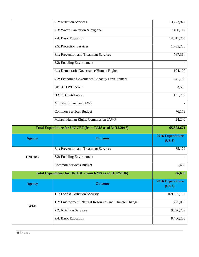|               | 2.2: Nutrition Services                                  | 13,273,972                         |
|---------------|----------------------------------------------------------|------------------------------------|
|               | 2.3: Water, Sanitation & hygiene                         | 7,400,112                          |
|               | 2.4: Basic Education                                     | 14,617,268                         |
|               | 2.5: Protection Services                                 | 1,765,788                          |
|               | 3.1: Prevention and Treatment Services                   | 767,364                            |
|               | 3.2: Enabling Environment                                |                                    |
|               | 4.1: Democratic Governance/Human Rights                  | 104,100                            |
|               | 4.2: Economic Governance/Capacity Development            | 241,782                            |
|               | <b>UNCG TWG AWP</b>                                      | 3,500                              |
|               | <b>HACT</b> Contribution                                 | 151,709                            |
|               | Ministry of Gender JAWP                                  |                                    |
|               | <b>Common Services Budget</b>                            | 76,173                             |
|               | Malawi Human Rights Commission JAWP                      | 24,240                             |
|               |                                                          |                                    |
|               | Total Expenditure for UNICEF (from RMS as of 31/12/2016) | 65,878,671                         |
| <b>Agency</b> | <b>Outcome</b>                                           | <b>2016 Expenditure</b><br>(US \$) |
|               | 3.1: Prevention and Treatment Services                   |                                    |
| <b>UNODC</b>  | 3.2: Enabling Environment                                |                                    |
|               | <b>Common Services Budget</b>                            | 1,460                              |
|               | Total Expenditure for UNODC (from RMS as of 31/12/2016)  | 86,639                             |
| <b>Agency</b> | <b>Outcome</b>                                           | 2016 Expenditure<br>(US \$)        |
|               | 1.1: Food & Nutrition Security                           | 169,985,182                        |
|               | 1.2: Environment, Natural Resources and Climate Change   | 225,000                            |
| <b>WFP</b>    | 2.2: Nutrition Services                                  | 9,096,789                          |
|               | 2.4: Basic Education                                     | 85,179<br>8,486,223                |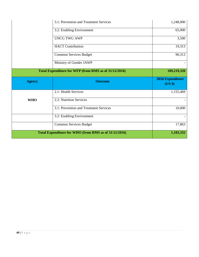|               | 3.1: Prevention and Treatment Services                | 1,248,000                   |
|---------------|-------------------------------------------------------|-----------------------------|
|               | 3.2: Enabling Environment                             | 65,000                      |
|               | <b>UNCG TWG AWP</b>                                   | 3,500                       |
|               | <b>HACT</b> Contribution                              | 19,313                      |
|               | <b>Common Services Budget</b>                         | 90,313                      |
|               | Ministry of Gender JAWP                               |                             |
|               | Total Expenditure for WFP (from RMS as of 31/12/2016) | 189,219,320                 |
|               |                                                       |                             |
| <b>Agency</b> | <b>Outcome</b>                                        | 2016 Expenditure<br>(US \$) |
|               | 2.1: Health Services                                  | 1,155,469                   |
| <b>WHO</b>    | 2.2: Nutrition Services                               |                             |
|               | 3.1: Prevention and Treatment Services                | 10,000                      |
|               | 3.2: Enabling Environment                             |                             |
|               | <b>Common Services Budget</b>                         | 17,863                      |